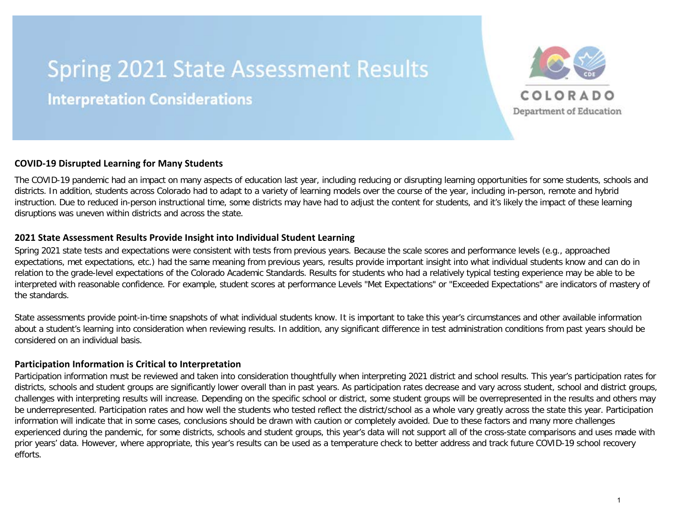# **Spring 2021 State Assessment Results Interpretation Considerations**



## **COVID-19 Disrupted Learning for Many Students**

The COVID-19 pandemic had an impact on many aspects of education last year, including reducing or disrupting learning opportunities for some students, schools and districts. In addition, students across Colorado had to adapt to a variety of learning models over the course of the year, including in-person, remote and hybrid instruction. Due to reduced in-person instructional time, some districts may have had to adjust the content for students, and it's likely the impact of these learning disruptions was uneven within districts and across the state.

### **2021 State Assessment Results Provide Insight into Individual Student Learning**

Spring 2021 state tests and expectations were consistent with tests from previous years. Because the scale scores and performance levels (e.g., approached expectations, met expectations, etc.) had the same meaning from previous years, results provide important insight into what individual students know and can do in relation to the grade-level expectations of the Colorado Academic Standards. Results for students who had a relatively typical testing experience may be able to be interpreted with reasonable confidence. For example, student scores at performance Levels "Met Expectations" or "Exceeded Expectations" are indicators of mastery of the standards.

State assessments provide point-in-time snapshots of what individual students know. It is important to take this year's circumstances and other available information about a student's learning into consideration when reviewing results. In addition, any significant difference in test administration conditions from past years should be considered on an individual basis.

### **Participation Information is Critical to Interpretation**

Participation information must be reviewed and taken into consideration thoughtfully when interpreting 2021 district and school results. This year's participation rates for districts, schools and student groups are significantly lower overall than in past years. As participation rates decrease and vary across student, school and district groups, challenges with interpreting results will increase. Depending on the specific school or district, some student groups will be overrepresented in the results and others may be underrepresented. Participation rates and how well the students who tested reflect the district/school as a whole vary greatly across the state this year. Participation information will indicate that in some cases, conclusions should be drawn with caution or completely avoided. Due to these factors and many more challenges experienced during the pandemic, for some districts, schools and student groups, this year's data will not support all of the cross-state comparisons and uses made with prior years' data. However, where appropriate, this year's results can be used as a temperature check to better address and track future COVID-19 school recovery efforts.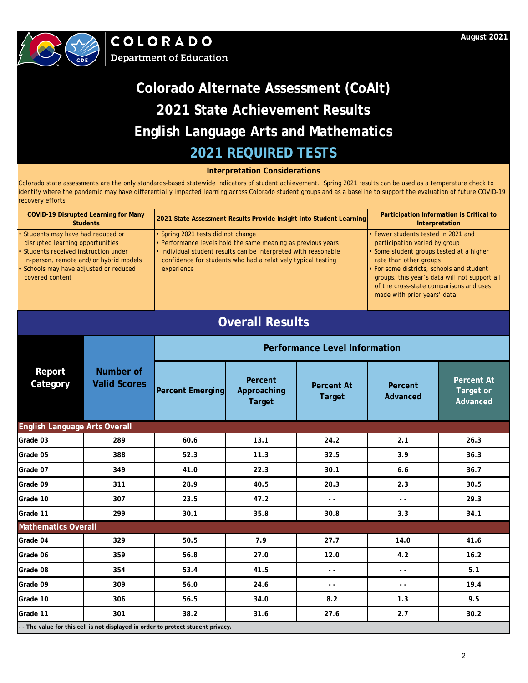



### **Interpretation Considerations**

| <b>COVID-19 Disrupted Learning for Many</b><br><b>Students</b>                                                                                                                                                   |                                                                                 | 2021 State Assessment Results Provide Insight into Student Learning                                                                                                                                                                                 |                                         |                                      | Participation Information is Critical to<br>Interpretation                                                                                                                                                                                                                                                     |                                            |  |
|------------------------------------------------------------------------------------------------------------------------------------------------------------------------------------------------------------------|---------------------------------------------------------------------------------|-----------------------------------------------------------------------------------------------------------------------------------------------------------------------------------------------------------------------------------------------------|-----------------------------------------|--------------------------------------|----------------------------------------------------------------------------------------------------------------------------------------------------------------------------------------------------------------------------------------------------------------------------------------------------------------|--------------------------------------------|--|
| Students may have had reduced or<br>disrupted learning opportunities<br>Students received instruction under<br>in-person, remote and/or hybrid models<br>Schools may have adjusted or reduced<br>covered content |                                                                                 | • Spring 2021 tests did not change<br>• Performance levels hold the same meaning as previous years<br>· Individual student results can be interpreted with reasonable<br>confidence for students who had a relatively typical testing<br>experience |                                         |                                      | Fewer students tested in 2021 and<br>participation varied by group<br>· Some student groups tested at a higher<br>rate than other groups<br>For some districts, schools and student<br>groups, this year's data will not support all<br>of the cross-state comparisons and uses<br>made with prior years' data |                                            |  |
|                                                                                                                                                                                                                  |                                                                                 |                                                                                                                                                                                                                                                     | <b>Overall Results</b>                  |                                      |                                                                                                                                                                                                                                                                                                                |                                            |  |
|                                                                                                                                                                                                                  |                                                                                 |                                                                                                                                                                                                                                                     |                                         | <b>Performance Level Information</b> |                                                                                                                                                                                                                                                                                                                |                                            |  |
| Report<br>Category                                                                                                                                                                                               | Number of<br><b>Valid Scores</b>                                                | <b>Percent Emerging</b>                                                                                                                                                                                                                             | Percent<br>Approaching<br><b>Target</b> | <b>Percent At</b><br><b>Target</b>   | Percent<br>Advanced                                                                                                                                                                                                                                                                                            | <b>Percent At</b><br>Target or<br>Advanced |  |
| <b>English Language Arts Overall</b>                                                                                                                                                                             |                                                                                 |                                                                                                                                                                                                                                                     |                                         |                                      |                                                                                                                                                                                                                                                                                                                |                                            |  |
| Grade 03                                                                                                                                                                                                         | 289                                                                             | 60.6                                                                                                                                                                                                                                                | 13.1                                    | 24.2                                 | 2.1                                                                                                                                                                                                                                                                                                            | 26.3                                       |  |
| Grade 05                                                                                                                                                                                                         | 388                                                                             | 52.3                                                                                                                                                                                                                                                | 11.3                                    | 32.5                                 | 3.9                                                                                                                                                                                                                                                                                                            | 36.3                                       |  |
| Grade 07                                                                                                                                                                                                         | 349                                                                             | 41.0                                                                                                                                                                                                                                                | 22.3                                    | 30.1                                 | 6.6                                                                                                                                                                                                                                                                                                            | 36.7                                       |  |
| Grade 09                                                                                                                                                                                                         | 311                                                                             | 28.9                                                                                                                                                                                                                                                | 40.5                                    | 28.3                                 | 2.3                                                                                                                                                                                                                                                                                                            | 30.5                                       |  |
| Grade 10                                                                                                                                                                                                         | 307                                                                             | 23.5                                                                                                                                                                                                                                                | 47.2                                    | $\sim$ $\sim$                        | $\overline{a}$                                                                                                                                                                                                                                                                                                 | 29.3                                       |  |
| Grade 11                                                                                                                                                                                                         | 299                                                                             | 30.1                                                                                                                                                                                                                                                | 35.8                                    | 30.8                                 | 3.3                                                                                                                                                                                                                                                                                                            | 34.1                                       |  |
| <b>Mathematics Overall</b>                                                                                                                                                                                       |                                                                                 |                                                                                                                                                                                                                                                     |                                         |                                      |                                                                                                                                                                                                                                                                                                                |                                            |  |
| Grade 04                                                                                                                                                                                                         | 329                                                                             | 50.5                                                                                                                                                                                                                                                | 7.9                                     | 27.7                                 | 14.0                                                                                                                                                                                                                                                                                                           | 41.6                                       |  |
| Grade 06                                                                                                                                                                                                         | 359                                                                             | 56.8                                                                                                                                                                                                                                                | 27.0                                    | 12.0                                 | 4.2                                                                                                                                                                                                                                                                                                            | 16.2                                       |  |
| Grade 08                                                                                                                                                                                                         | 354                                                                             | 53.4                                                                                                                                                                                                                                                | 41.5                                    | $\sim$ $\sim$                        | $\sim$ $\sim$                                                                                                                                                                                                                                                                                                  | 5.1                                        |  |
| Grade 09                                                                                                                                                                                                         | 309                                                                             | 56.0                                                                                                                                                                                                                                                | 24.6                                    | $\sim$                               | $\sim$ $\sim$                                                                                                                                                                                                                                                                                                  | 19.4                                       |  |
| Grade 10                                                                                                                                                                                                         | 306                                                                             | 56.5                                                                                                                                                                                                                                                | 34.0                                    | 8.2                                  | 1.3                                                                                                                                                                                                                                                                                                            | 9.5                                        |  |
| Grade 11                                                                                                                                                                                                         | 301                                                                             | 38.2                                                                                                                                                                                                                                                | 31.6                                    | 27.6                                 | 2.7                                                                                                                                                                                                                                                                                                            | 30.2                                       |  |
|                                                                                                                                                                                                                  | - The value for this cell is not displayed in order to protect student privacy. |                                                                                                                                                                                                                                                     |                                         |                                      |                                                                                                                                                                                                                                                                                                                |                                            |  |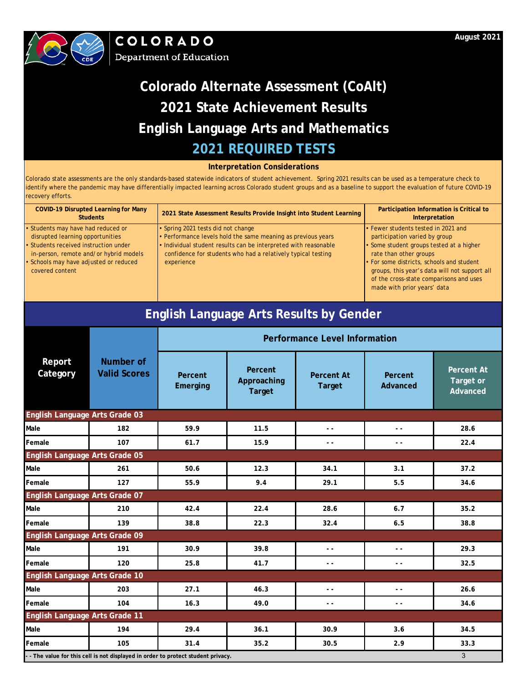



### **Interpretation Considerations**

| <b>COVID-19 Disrupted Learning for Many</b><br><b>Students</b> | 2021 State Assessment Results Provide Insight into Student Learning | Participation Information is Critical to<br>Interpretation |
|----------------------------------------------------------------|---------------------------------------------------------------------|------------------------------------------------------------|
| • Students may have had reduced or                             | · Spring 2021 tests did not change                                  | • Fewer students tested in 2021 and                        |
| disrupted learning opportunities                               | • Performance levels hold the same meaning as previous years        | participation varied by group                              |
| • Students received instruction under                          | . Individual student results can be interpreted with reasonable     | • Some student groups tested at a higher                   |
| in-person, remote and/or hybrid models                         | confidence for students who had a relatively typical testing        | rate than other groups                                     |
| • Schools may have adjusted or reduced                         | experience                                                          | • For some districts, schools and student                  |
| covered content                                                |                                                                     | groups, this year's data will not support all              |
|                                                                |                                                                     | of the cross-state comparisons and uses                    |
|                                                                |                                                                     | made with prior years' data                                |

| <b>English Language Arts Results by Gender</b> |                                                                                        |                                      |                                         |                                    |                          |                                            |  |  |
|------------------------------------------------|----------------------------------------------------------------------------------------|--------------------------------------|-----------------------------------------|------------------------------------|--------------------------|--------------------------------------------|--|--|
|                                                |                                                                                        | <b>Performance Level Information</b> |                                         |                                    |                          |                                            |  |  |
| Report<br>Category                             | Number of<br><b>Valid Scores</b>                                                       | Percent<br>Emerging                  | Percent<br>Approaching<br><b>Target</b> | <b>Percent At</b><br><b>Target</b> | Percent<br>Advanced      | <b>Percent At</b><br>Target or<br>Advanced |  |  |
| English Language Arts Grade 03                 |                                                                                        |                                      |                                         |                                    |                          |                                            |  |  |
| Male                                           | 182                                                                                    | 59.9                                 | 11.5                                    | $\overline{a}$                     | . .                      | 28.6                                       |  |  |
| Female                                         | 107                                                                                    | 61.7                                 | 15.9                                    | $ -$                               | . .                      | 22.4                                       |  |  |
| <b>English Language Arts Grade 05</b>          |                                                                                        |                                      |                                         |                                    |                          |                                            |  |  |
| Male                                           | 261                                                                                    | 50.6                                 | 12.3                                    | 34.1                               | 3.1                      | 37.2                                       |  |  |
| Female                                         | 127                                                                                    | 55.9                                 | 9.4                                     | 29.1                               | 5.5                      | 34.6                                       |  |  |
| English Language Arts Grade 07                 |                                                                                        |                                      |                                         |                                    |                          |                                            |  |  |
| Male                                           | 210                                                                                    | 42.4                                 | 22.4                                    | 28.6                               | 6.7                      | 35.2                                       |  |  |
| Female                                         | 139                                                                                    | 38.8                                 | 22.3                                    | 32.4                               | 6.5                      | 38.8                                       |  |  |
| <b>English Language Arts Grade 09</b>          |                                                                                        |                                      |                                         |                                    |                          |                                            |  |  |
| Male                                           | 191                                                                                    | 30.9                                 | 39.8                                    | $\sim$ $\sim$                      | $\sim$ $\sim$            | 29.3                                       |  |  |
| Female                                         | 120                                                                                    | 25.8                                 | 41.7                                    | $ -$                               | $\overline{\phantom{a}}$ | 32.5                                       |  |  |
| English Language Arts Grade 10                 |                                                                                        |                                      |                                         |                                    |                          |                                            |  |  |
| Male                                           | 203                                                                                    | 27.1                                 | 46.3                                    | $\sim$ $\sim$                      | $ -$                     | 26.6                                       |  |  |
| Female                                         | 104                                                                                    | 16.3                                 | 49.0                                    | $\sim$ $\sim$                      | $ -$                     | 34.6                                       |  |  |
| English Language Arts Grade 11                 |                                                                                        |                                      |                                         |                                    |                          |                                            |  |  |
| Male                                           | 194                                                                                    | 29.4                                 | 36.1                                    | 30.9                               | 3.6                      | 34.5                                       |  |  |
| Female                                         | 105                                                                                    | 31.4                                 | 35.2                                    | 30.5                               | 2.9                      | 33.3                                       |  |  |
|                                                | 3<br>- - The value for this cell is not displayed in order to protect student privacy. |                                      |                                         |                                    |                          |                                            |  |  |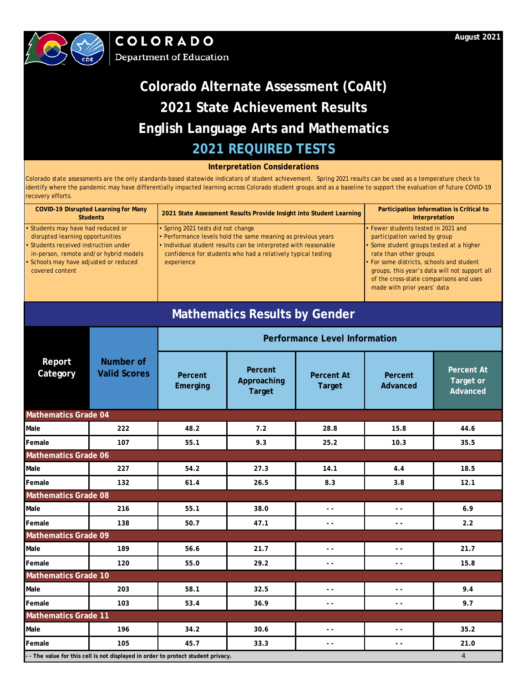



### **Interpretation Considerations**

Colorado state assessments are the only standards-based statewide indicators of student achievement. Spring 2021 results can be used as a temperature check to identify where the pandemic may have differentially impacted learning across Colorado student groups and as a baseline to support the evaluation of future COVID-19 recovery efforts.

| <b>COVID-19 Disrupted Learning for Many</b><br><b>Students</b>                  | 2021 State Assessment Results Provide Insight into Student Learning                                                             | Participation Information is Critical to<br>Interpretation                                                                                                           |
|---------------------------------------------------------------------------------|---------------------------------------------------------------------------------------------------------------------------------|----------------------------------------------------------------------------------------------------------------------------------------------------------------------|
| • Students may have had reduced or                                              | • Spring 2021 tests did not change                                                                                              | • Fewer students tested in 2021 and                                                                                                                                  |
| disrupted learning opportunities                                                | • Performance levels hold the same meaning as previous years                                                                    | participation varied by group                                                                                                                                        |
| • Students received instruction under<br>in-person, remote and/or hybrid models | . Individual student results can be interpreted with reasonable<br>confidence for students who had a relatively typical testing | • Some student groups tested at a higher<br>rate than other groups                                                                                                   |
| • Schools may have adjusted or reduced<br>covered content                       | experience                                                                                                                      | • For some districts, schools and student<br>groups, this year's data will not support all<br>of the cross-state comparisons and uses<br>made with prior years' data |

## **Mathematics Results by Gender**

|                                                                                                     |                                         | <b>Performance Level Information</b> |                                         |                                    |                          |                                            |  |  |
|-----------------------------------------------------------------------------------------------------|-----------------------------------------|--------------------------------------|-----------------------------------------|------------------------------------|--------------------------|--------------------------------------------|--|--|
| Report<br>Category                                                                                  | <b>Number of</b><br><b>Valid Scores</b> | Percent<br>Emerging                  | Percent<br>Approaching<br><b>Target</b> | <b>Percent At</b><br><b>Target</b> | Percent<br>Advanced      | <b>Percent At</b><br>Target or<br>Advanced |  |  |
| <b>Mathematics Grade 04</b>                                                                         |                                         |                                      |                                         |                                    |                          |                                            |  |  |
| Male                                                                                                | 222                                     | 48.2                                 | 7.2                                     | 28.8                               | 15.8                     | 44.6                                       |  |  |
| Female                                                                                              | 107                                     | 55.1                                 | 9.3                                     | 25.2                               | 10.3                     | 35.5                                       |  |  |
| <b>Mathematics Grade 06</b>                                                                         |                                         |                                      |                                         |                                    |                          |                                            |  |  |
| Male                                                                                                | 227                                     | 54.2                                 | 27.3                                    | 14.1                               | 4.4                      | 18.5                                       |  |  |
| Female                                                                                              | 132                                     | 61.4                                 | 26.5                                    | 8.3                                | 3.8                      | 12.1                                       |  |  |
| <b>Mathematics Grade 08</b>                                                                         |                                         |                                      |                                         |                                    |                          |                                            |  |  |
| Male                                                                                                | 216                                     | 55.1                                 | 38.0                                    | $\sim$ $\sim$                      | $\sim$ $\sim$            | 6.9                                        |  |  |
| Female                                                                                              | 138                                     | 50.7                                 | 47.1                                    | $\sim$ $\sim$                      | $\sim$ $\sim$            | 2.2                                        |  |  |
| <b>Mathematics Grade 09</b>                                                                         |                                         |                                      |                                         |                                    |                          |                                            |  |  |
| Male                                                                                                | 189                                     | 56.6                                 | 21.7                                    | $\sim$ $\sim$                      | $\sim$ $\sim$            | 21.7                                       |  |  |
| Female                                                                                              | 120                                     | 55.0                                 | 29.2                                    | $ -$                               | . .                      | 15.8                                       |  |  |
| <b>Mathematics Grade 10</b>                                                                         |                                         |                                      |                                         |                                    |                          |                                            |  |  |
| Male                                                                                                | 203                                     | 58.1                                 | 32.5                                    | $\sim$ $\sim$                      | $\overline{\phantom{a}}$ | 9.4                                        |  |  |
| Female                                                                                              | 103                                     | 53.4                                 | 36.9                                    | $ -$                               | $\sim$ $\sim$            | 9.7                                        |  |  |
| <b>Mathematics Grade 11</b>                                                                         |                                         |                                      |                                         |                                    |                          |                                            |  |  |
| Male                                                                                                | 196                                     | 34.2                                 | 30.6                                    | $\sim$ $\sim$                      | $\sim$ $\sim$            | 35.2                                       |  |  |
| Female                                                                                              | 105                                     | 45.7                                 | 33.3                                    | $\sim$ $\sim$                      | $ -$                     | 21.0                                       |  |  |
| $\overline{4}$<br>- - The value for this cell is not displayed in order to protect student privacy. |                                         |                                      |                                         |                                    |                          |                                            |  |  |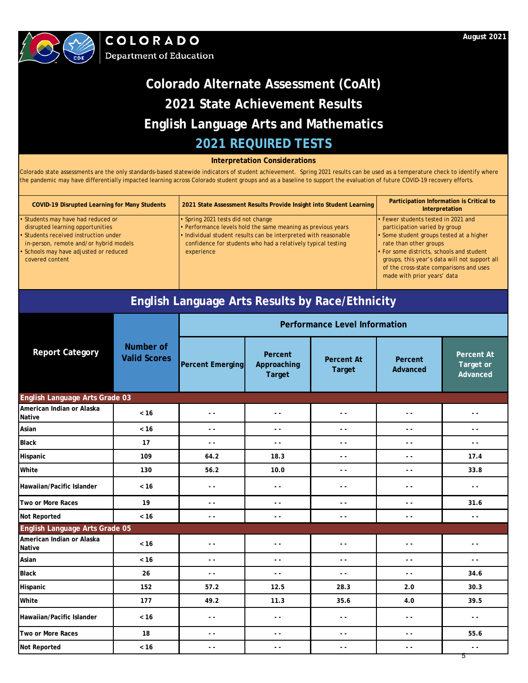

#### **Interpretation Considerations**

Colorado state assessments are the only standards-based statewide indicators of student achievement. Spring 2021 results can be used as a temperature check to identify where the pandemic may have differentially impacted learning across Colorado student groups and as a baseline to support the evaluation of future COVID-19 recovery efforts.

| <b>COVID-19 Disrupted Learning for Many Students</b>                                                                                                                                                                   | 2021 State Assessment Results Provide Insight into Student Learning                                                                                                                                                                                 | Participation Information is Critical to<br>Interpretation                                                                                                                                                                                                                                                         |
|------------------------------------------------------------------------------------------------------------------------------------------------------------------------------------------------------------------------|-----------------------------------------------------------------------------------------------------------------------------------------------------------------------------------------------------------------------------------------------------|--------------------------------------------------------------------------------------------------------------------------------------------------------------------------------------------------------------------------------------------------------------------------------------------------------------------|
| • Students may have had reduced or<br>disrupted learning opportunities<br>• Students received instruction under<br>in-person, remote and/or hybrid models<br>· Schools may have adjusted or reduced<br>covered content | • Spring 2021 tests did not change<br>• Performance levels hold the same meaning as previous years<br>. Individual student results can be interpreted with reasonable<br>confidence for students who had a relatively typical testing<br>experience | • Fewer students tested in 2021 and<br>participation varied by group<br>• Some student groups tested at a higher<br>rate than other groups<br>• For some districts, schools and student<br>groups, this year's data will not support all<br>of the cross-state comparisons and uses<br>made with prior years' data |

## **English Language Arts Results by Race/Ethnicity**

|                                     |                                  | <b>Performance Level Information</b> |                                         |                                    |                     |                                            |  |
|-------------------------------------|----------------------------------|--------------------------------------|-----------------------------------------|------------------------------------|---------------------|--------------------------------------------|--|
| <b>Report Category</b>              | Number of<br><b>Valid Scores</b> | <b>Percent Emerging</b>              | Percent<br>Approaching<br><b>Target</b> | <b>Percent At</b><br><b>Target</b> | Percent<br>Advanced | <b>Percent At</b><br>Target or<br>Advanced |  |
| English Language Arts Grade 03      |                                  |                                      |                                         |                                    |                     |                                            |  |
| American Indian or Alaska<br>Native | < 16                             | $\overline{\phantom{a}}$             | . .                                     | $\sim$ $\sim$                      | $\sim$ $\sim$       | $\sim$ $\sim$                              |  |
| Asian                               | $< 16$                           | $\sim$ $\sim$                        | $\sim$ $\sim$                           | $\sim$ $\sim$                      | $\sim$ $\sim$       | $\sim$ $\sim$                              |  |
| <b>Black</b>                        | 17                               | $\sim$ $\sim$                        | $\sim$ $\sim$                           | $\sim$ $\sim$                      | $\sim$ $\sim$       | $\sim$ $\sim$                              |  |
| Hispanic                            | 109                              | 64.2                                 | 18.3                                    | $\sim$ $\sim$                      | $\sim$ $\sim$       | 17.4                                       |  |
| White                               | 130                              | 56.2                                 | 10.0                                    | $\sim$ $\sim$                      | $\sim$ $\sim$       | 33.8                                       |  |
| Hawaiian/Pacific Islander           | $< 16$                           | $\sim$ $\sim$                        | $\sim$ $\sim$                           | $\sim$ $\sim$                      | $\sim$ $\sim$       | $\sim$ $\sim$                              |  |
| Two or More Races                   | 19                               | $\overline{\phantom{a}}$             | . .                                     | $\sim$ $\sim$                      | $\frac{1}{2}$       | 31.6                                       |  |
| Not Reported                        | < 16                             | $\sim$ $\sim$                        | $\sim$ $\sim$                           | $\sim$ $\sim$                      | $\sim$ $\sim$       | $\sim$ $\sim$                              |  |
| English Language Arts Grade 05      |                                  |                                      |                                         |                                    |                     |                                            |  |
| American Indian or Alaska<br>Native | < 16                             | $\sim$ $\sim$                        | $\sim$ $\sim$                           | $\sim$ $\sim$                      | $\sim$ $\sim$       | $\sim$ $\sim$                              |  |
| Asian                               | < 16                             | ۰.                                   | ٠.                                      | $ -$                               | $\sim$ $\sim$       | $ -$                                       |  |
| <b>Black</b>                        | 26                               | $\sim$ $\sim$                        | $\sim$ $\sim$                           | $\sim$ $\sim$                      | $\sim$ $\sim$       | 34.6                                       |  |
| Hispanic                            | 152                              | 57.2                                 | 12.5                                    | 28.3                               | 2.0                 | 30.3                                       |  |
| White                               | 177                              | 49.2                                 | 11.3                                    | 35.6                               | 4.0                 | 39.5                                       |  |
| Hawaiian/Pacific Islander           | < 16                             | $\sim$ $\sim$                        | $\sim$ $\sim$                           | $\sim$ $\sim$                      | $\sim$ $\sim$       | $\sim$ $\sim$                              |  |
| Two or More Races                   | 18                               | $\sim$ $\sim$                        | $\sim$ $\sim$                           | $\sim$ $\sim$                      | $\sim$ $\sim$       | 55.6                                       |  |
| Not Reported                        | $< 16$                           | $\sim$ $\sim$                        | $\sim$ $\sim$                           | $\sim$ $\sim$                      | $\sim$ $\sim$       | $\sim$ $\sim$                              |  |
|                                     |                                  |                                      |                                         |                                    |                     | 5                                          |  |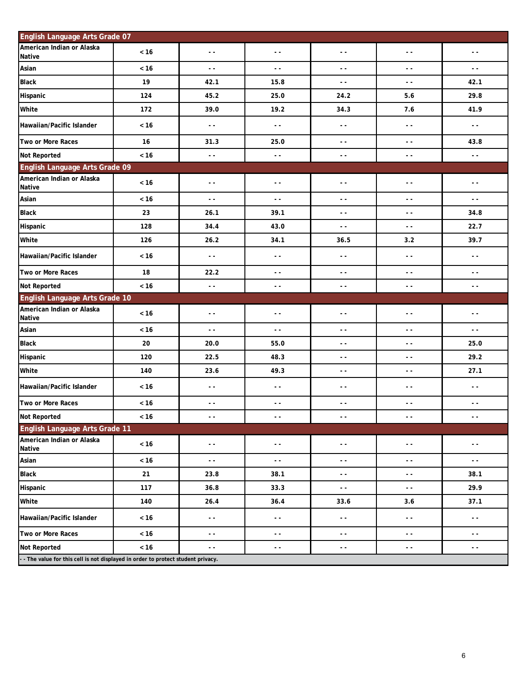| English Language Arts Grade 07             |        |                          |               |                          |                                          |                          |
|--------------------------------------------|--------|--------------------------|---------------|--------------------------|------------------------------------------|--------------------------|
| American Indian or Alaska<br><b>Native</b> | $< 16$ | $\sim$ $\sim$            | $\sim$ $\sim$ | $\sim$ $\sim$            | $\sim$ $\sim$                            | $\sim$ $\sim$            |
| Asian                                      | $< 16$ | $\sim$ $\sim$            | $\sim$ $\sim$ | $\overline{a}$           | $\overline{\phantom{a}}$                 | $\sim$ $\sim$            |
| <b>Black</b>                               | 19     | 42.1                     | 15.8          | $\sim$ $\sim$            | $\sim$ $\sim$                            | 42.1                     |
| Hispanic                                   | 124    | 45.2                     | 25.0          | 24.2                     | 5.6                                      | 29.8                     |
| White                                      | 172    | 39.0                     | 19.2          | 34.3                     | 7.6                                      | 41.9                     |
| Hawaiian/Pacific Islander                  | < 16   | $\sim$ $\sim$            | $\sim$ $\sim$ | $\sim$ $\sim$            | $\sim$ $\sim$                            | $\sim$ $\sim$            |
| Two or More Races                          | 16     | 31.3                     | 25.0          | $\sim$ $\sim$            | $\sim$ $\sim$                            | 43.8                     |
| <b>Not Reported</b>                        | $< 16$ | $\sim$ $\sim$            | $\sim$ $\sim$ | $\sim$ $\sim$            | $\sim$ $\sim$                            | $\sim$ $\sim$            |
| English Language Arts Grade 09             |        |                          |               |                          |                                          |                          |
| American Indian or Alaska<br>Native        | $< 16$ | $\sim$ $\sim$            | $\sim$ $\sim$ | $\sim$ $\sim$            | $\sim$ $\sim$                            | $\sim$ $\sim$            |
| Asian                                      | $< 16$ | $\sim$ $\sim$            | $\sim$ $\sim$ | $\sim$ $\sim$            | $\sim$ $\sim$                            | $\sim$ $\sim$            |
| <b>Black</b>                               | 23     | 26.1                     | 39.1          | $\sim$ $\sim$            | $\sim$ $\sim$                            | 34.8                     |
| Hispanic                                   | 128    | 34.4                     | 43.0          | $\overline{\phantom{a}}$ | $\overline{\phantom{a}}$                 | 22.7                     |
| White                                      | 126    | 26.2                     | 34.1          | 36.5                     | 3.2                                      | 39.7                     |
| Hawaiian/Pacific Islander                  | $<16$  | $\sim$ $\sim$            | $\sim$ $\sim$ | $\sim$ $\sim$            | $\sim$ $\sim$                            | $\sim$ $\sim$            |
| Two or More Races                          | 18     | 22.2                     | $\sim$ $\sim$ | $\sim$ $\sim$            | $\sim$ $\sim$                            | $\sim$ $\sim$            |
| Not Reported                               | $< 16$ | $\sim$ $\sim$            | $\sim$ $\sim$ | $\sim$ $\sim$            | $\sim$ $\sim$                            | $\sim$ $\sim$            |
| English Language Arts Grade 10             |        |                          |               |                          |                                          |                          |
| American Indian or Alaska<br><b>Native</b> | < 16   | $\sim$ $\sim$            | $\sim$ $\sim$ | $\sim$ $\sim$            | $\sim$ $\sim$                            | $\sim$ $\sim$            |
| Asian                                      | $< 16$ | $\overline{a}$           | . .           | $\overline{\phantom{a}}$ | $\sim$ $\sim$                            | $\overline{\phantom{a}}$ |
| <b>Black</b>                               | 20     | 20.0                     | 55.0          | $\sim$ $\sim$            | $\sim$ $\sim$                            | 25.0                     |
| Hispanic                                   | 120    | 22.5                     | 48.3          | $\sim$ $\sim$            | $\sim$ $\sim$                            | 29.2                     |
| White                                      | 140    | 23.6                     | 49.3          | $\sim$ $\sim$            | $\sim$ $\sim$                            | 27.1                     |
| Hawaiian/Pacific Islander                  | $<16$  | $\sim$ $\sim$            | $\sim$ $\sim$ | $\sim$ $\sim$            | $\sim$ $\sim$                            | $\sim$ $-$               |
| Two or More Races                          | $< 16$ | $\sim$ $\sim$            | $\sim$ $\sim$ | $\sim$ $\sim$            | $\sim$ $\sim$                            | $\sim$ $\sim$            |
| Not Reported                               | $< 16$ |                          | - -           | - -                      | - -                                      |                          |
| English Language Arts Grade 11             |        |                          |               |                          |                                          |                          |
| American Indian or Alaska<br>Native        | $< 16$ | $\overline{\phantom{a}}$ | $\sim$ $\sim$ | - -                      | $\sim$ $-$                               | $\sim$ $-$               |
| Asian                                      | $< 16$ | $\sim$ $\sim$            | $\sim$ $\sim$ | $\sim$ $\sim$            | $\sim$ $\sim$                            | $\sim$ $-$               |
| <b>Black</b>                               | 21     | 23.8                     | 38.1          | $\sim$ $\sim$            | $\sim$ $\sim$                            | 38.1                     |
| Hispanic                                   | 117    | 36.8                     | 33.3          | $\sim$ $\sim$            | $\sim$ $\sim$                            | 29.9                     |
| White                                      | 140    | 26.4                     | 36.4          | 33.6                     | 3.6                                      | 37.1                     |
| Hawaiian/Pacific Islander                  | $< 16$ | $\sim$ $\sim$            | $\sim$ $\sim$ | $\sim$ $\sim$            | $\sim$ $\sim$                            | $\sim$ $\sim$            |
| Two or More Races                          | $< 16$ | 44                       | 44            | $\sim$ $\sim$            | $\sim$ $\sim$                            | $\sim$ $\sim$            |
|                                            |        |                          |               |                          |                                          |                          |
| <b>Not Reported</b>                        | $< 16$ | - -                      | - -           | - -                      | $\frac{1}{2} \left( \frac{1}{2} \right)$ | - -                      |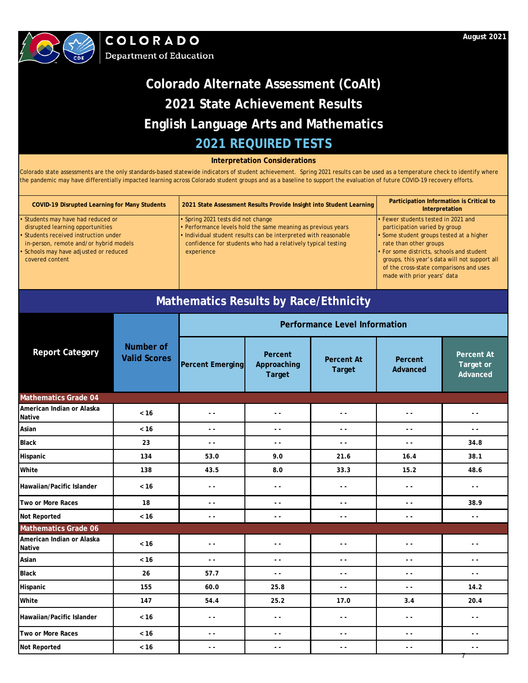

#### **Interpretation Considerations**

Colorado state assessments are the only standards-based statewide indicators of student achievement. Spring 2021 results can be used as a temperature check to identify where the pandemic may have differentially impacted learning across Colorado student groups and as a baseline to support the evaluation of future COVID-19 recovery efforts.

| <b>COVID-19 Disrupted Learning for Many Students</b>                                                                                                                                                                   | 2021 State Assessment Results Provide Insight into Student Learning                                                                                                                                                                                 | Participation Information is Critical to<br>Interpretation                                                                                                                                                                                                                                                         |
|------------------------------------------------------------------------------------------------------------------------------------------------------------------------------------------------------------------------|-----------------------------------------------------------------------------------------------------------------------------------------------------------------------------------------------------------------------------------------------------|--------------------------------------------------------------------------------------------------------------------------------------------------------------------------------------------------------------------------------------------------------------------------------------------------------------------|
| • Students may have had reduced or<br>disrupted learning opportunities<br>• Students received instruction under<br>in-person, remote and/or hybrid models<br>• Schools may have adjusted or reduced<br>covered content | • Spring 2021 tests did not change<br>• Performance levels hold the same meaning as previous years<br>. Individual student results can be interpreted with reasonable<br>confidence for students who had a relatively typical testing<br>experience | • Fewer students tested in 2021 and<br>participation varied by group<br>• Some student groups tested at a higher<br>rate than other groups<br>• For some districts, schools and student<br>groups, this year's data will not support all<br>of the cross-state comparisons and uses<br>made with prior years' data |

## **Mathematics Results by Race/Ethnicity**

|                                     |                                  | <b>Performance Level Information</b> |                                         |                                    |                                          |                                                                                                                                                                                                                                                                                                                                                                                              |  |
|-------------------------------------|----------------------------------|--------------------------------------|-----------------------------------------|------------------------------------|------------------------------------------|----------------------------------------------------------------------------------------------------------------------------------------------------------------------------------------------------------------------------------------------------------------------------------------------------------------------------------------------------------------------------------------------|--|
| <b>Report Category</b>              | Number of<br><b>Valid Scores</b> | <b>Percent Emerging</b>              | Percent<br>Approaching<br><b>Target</b> | <b>Percent At</b><br><b>Target</b> | Percent<br>Advanced                      | <b>Percent At</b><br><b>Target or</b><br>Advanced                                                                                                                                                                                                                                                                                                                                            |  |
| <b>Mathematics Grade 04</b>         |                                  |                                      |                                         |                                    |                                          |                                                                                                                                                                                                                                                                                                                                                                                              |  |
| American Indian or Alaska<br>Native | < 16                             | $\sim$ $\sim$                        | $\sim$ $\sim$                           | $\sim$ $\sim$                      | $\sim$ $\sim$                            | $\sim$ $\sim$                                                                                                                                                                                                                                                                                                                                                                                |  |
| Asian                               | $< 16$                           | $\sim$ $\sim$                        | $\sim$ $\sim$                           | $\sim$ $\sim$                      | $\sim$ $\sim$                            | $\sim$ $\sim$                                                                                                                                                                                                                                                                                                                                                                                |  |
| <b>Black</b>                        | 23                               | $\sim$ $\sim$                        | $\sim$ $\sim$                           | $\sim$ $\sim$                      | $\sim$ $\sim$                            | 34.8                                                                                                                                                                                                                                                                                                                                                                                         |  |
| Hispanic                            | 134                              | 53.0                                 | 9.0                                     | 21.6                               | 16.4                                     | 38.1                                                                                                                                                                                                                                                                                                                                                                                         |  |
| White                               | 138                              | 43.5                                 | 8.0                                     | 33.3                               | 15.2                                     | 48.6                                                                                                                                                                                                                                                                                                                                                                                         |  |
| Hawaiian/Pacific Islander           | $< 16$                           | $\sim$ $\sim$                        | $\sim$ $\sim$                           | $\sim$ $\sim$                      | $\sim$ $\sim$                            | $\sim$ $\sim$                                                                                                                                                                                                                                                                                                                                                                                |  |
| Two or More Races                   | 18                               | $\sim$ $\sim$                        | $\sim$ $\sim$                           | $\sim$ $\sim$                      | $\sim$ $\sim$                            | 38.9                                                                                                                                                                                                                                                                                                                                                                                         |  |
| Not Reported                        | < 16                             | $\sim$ $\sim$                        | $\sim$ $\sim$                           | $\sim$ $\sim$                      | $\sim$ $\sim$                            | $\frac{1}{2}$                                                                                                                                                                                                                                                                                                                                                                                |  |
| Mathematics Grade 06                |                                  |                                      |                                         |                                    |                                          |                                                                                                                                                                                                                                                                                                                                                                                              |  |
| American Indian or Alaska<br>Native | < 16                             | $\sim$ $\sim$                        | $\sim$ $\sim$                           | $\sim$ $\sim$                      | $\frac{1}{2} \left( \frac{1}{2} \right)$ | $\sim$ $\sim$                                                                                                                                                                                                                                                                                                                                                                                |  |
| Asian                               | < 16                             | $\sim$ $\sim$                        | $\sim$ $\sim$                           | $ -$                               | $\sim$ $\sim$                            | $\frac{1}{2} \frac{1}{2} \frac{1}{2} \frac{1}{2} \frac{1}{2} \frac{1}{2} \frac{1}{2} \frac{1}{2} \frac{1}{2} \frac{1}{2} \frac{1}{2} \frac{1}{2} \frac{1}{2} \frac{1}{2} \frac{1}{2} \frac{1}{2} \frac{1}{2} \frac{1}{2} \frac{1}{2} \frac{1}{2} \frac{1}{2} \frac{1}{2} \frac{1}{2} \frac{1}{2} \frac{1}{2} \frac{1}{2} \frac{1}{2} \frac{1}{2} \frac{1}{2} \frac{1}{2} \frac{1}{2} \frac{$ |  |
| <b>Black</b>                        | 26                               | 57.7                                 | $\sim$ $\sim$                           | $\sim$ $\sim$                      | $\sim$ $\sim$                            | $\frac{1}{2} \frac{1}{2} \frac{1}{2} \frac{1}{2} \frac{1}{2} \frac{1}{2} \frac{1}{2} \frac{1}{2} \frac{1}{2} \frac{1}{2} \frac{1}{2} \frac{1}{2} \frac{1}{2} \frac{1}{2} \frac{1}{2} \frac{1}{2} \frac{1}{2} \frac{1}{2} \frac{1}{2} \frac{1}{2} \frac{1}{2} \frac{1}{2} \frac{1}{2} \frac{1}{2} \frac{1}{2} \frac{1}{2} \frac{1}{2} \frac{1}{2} \frac{1}{2} \frac{1}{2} \frac{1}{2} \frac{$ |  |
| Hispanic                            | 155                              | 60.0                                 | 25.8                                    | $\sim$ $\sim$                      | $\sim$ $\sim$                            | 14.2                                                                                                                                                                                                                                                                                                                                                                                         |  |
| White                               | 147                              | 54.4                                 | 25.2                                    | 17.0                               | 3.4                                      | 20.4                                                                                                                                                                                                                                                                                                                                                                                         |  |
| Hawaiian/Pacific Islander           | < 16                             | $\frac{1}{2}$                        | $\sim$ $\sim$                           | $\sim$ $\sim$                      | $\sim$ $\sim$                            | $\sim$ $\sim$                                                                                                                                                                                                                                                                                                                                                                                |  |
| Two or More Races                   | < 16                             | $\sim$ $\sim$                        | $\sim$ $\sim$                           | $\sim$ $\sim$                      | $\sim$ $\sim$                            | $\sim$ $\sim$                                                                                                                                                                                                                                                                                                                                                                                |  |
| Not Reported                        | $< 16$                           | $\sim$ $\sim$                        | $\sim$ $\sim$                           | $\sim$ $\sim$                      | $\sim$ $\sim$                            | $\sim$ $\sim$                                                                                                                                                                                                                                                                                                                                                                                |  |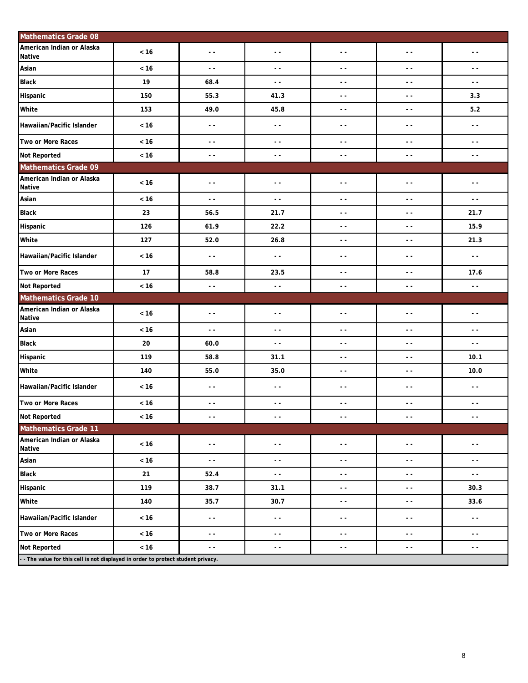| <b>Mathematics Grade 08</b>                         |        |               |                          |                          |                          |               |
|-----------------------------------------------------|--------|---------------|--------------------------|--------------------------|--------------------------|---------------|
| American Indian or Alaska<br>Native                 | < 16   | $\sim$ $\sim$ | $\sim$ $\sim$            | $\sim$ $\sim$            | $\sim$ $\sim$            | $\sim$ $\sim$ |
| Asian                                               | $< 16$ | $\sim$ $\sim$ | $\sim$                   | $\sim$ $\sim$            | $\sim$ $\sim$            | $\sim$ $\sim$ |
| <b>Black</b>                                        | 19     | 68.4          | $\sim$ $\sim$            | $\sim$ $\sim$            | $\sim$ $\sim$            | $\sim$ $\sim$ |
| Hispanic                                            | 150    | 55.3          | 41.3                     | $\sim$ $\sim$            | $\sim$ $\sim$            | 3.3           |
| White                                               | 153    | 49.0          | 45.8                     | $\overline{a}$           | $\ddot{\phantom{1}}$     | $5.2$         |
| Hawaiian/Pacific Islander                           | < 16   | $\sim$ $\sim$ | $\sim$ $\sim$            | $\sim$ $\sim$            | $\sim$ $\sim$            | $\sim$ $\sim$ |
| Two or More Races                                   | $< 16$ | $\sim$ $\sim$ | $\sim$ $\sim$            | $\sim$ $\sim$            | $\sim$ $\sim$            | $\sim$ $\sim$ |
| <b>Not Reported</b>                                 | < 16   | $\sim$ $\sim$ | $\sim$ $\sim$            | $\sim$ $\sim$            | $\sim$ $\sim$            | $\sim$ $\sim$ |
| <b>Mathematics Grade 09</b>                         |        |               |                          |                          |                          |               |
| American Indian or Alaska<br><b>Native</b>          | $< 16$ | $\sim$ $\sim$ | $\overline{\phantom{a}}$ | $\sim$ $\sim$            | $\sim$ $\sim$            | $\sim$ $\sim$ |
| Asian                                               | < 16   | $\sim$ $\sim$ | $\sim$                   | $\sim$ $\sim$            | $\sim$ $\sim$            | $\sim$ $\sim$ |
| <b>Black</b>                                        | 23     | 56.5          | 21.7                     | $\sim$ $\sim$            | $\overline{\phantom{a}}$ | 21.7          |
| Hispanic                                            | 126    | 61.9          | 22.2                     | $\sim$ $\sim$            | $\sim$ $\sim$            | 15.9          |
| White                                               | 127    | 52.0          | 26.8                     | $\sim$ $\sim$            | $\sim$ $\sim$            | 21.3          |
| Hawaiian/Pacific Islander                           | < 16   | $\sim$ $\sim$ | $\sim$ $\sim$            | $\sim$ $\sim$            | $\sim$ $\sim$            | $\sim$ $\sim$ |
| Two or More Races                                   | 17     | 58.8          | 23.5                     | $\ddotsc$                | $\sim$ $\sim$            | 17.6          |
| Not Reported                                        | $< 16$ | $\sim$ $\sim$ | $\sim$ $\sim$            | $\sim$ $\sim$            | $\sim$ $\sim$            | $\sim$ $\sim$ |
|                                                     |        |               |                          |                          |                          |               |
| <b>Mathematics Grade 10</b>                         |        |               |                          |                          |                          |               |
| American Indian or Alaska<br><b>Native</b>          | $< 16$ | $\sim$ $\sim$ | $\sim$ $\sim$            | $\sim$ $\sim$            | $\sim$ $\sim$            | $\sim$ $\sim$ |
| Asian                                               | $< 16$ | $\sim$ $\sim$ | $\sim$                   | $\sim$ $\sim$            | $\sim$ $\sim$            | $\sim$ $\sim$ |
| <b>Black</b>                                        | 20     | 60.0          | $\overline{a}$           | $\sim$ $\sim$            | $\sim$ $\sim$            | $\sim$ $\sim$ |
| Hispanic                                            | 119    | 58.8          | 31.1                     | $\sim$ $\sim$            | $\sim$ $\sim$            | 10.1          |
|                                                     | 140    | 55.0          | 35.0                     | $\sim$ $\sim$            | $\sim$ $\sim$            | 10.0          |
| White<br>Hawaiian/Pacific Islander                  | $< 16$ | $\sim$ $\sim$ | $\sim$ $\sim$            | $\sim$ $\sim$            | $\sim$ $\sim$            | $\sim$ $\sim$ |
| Two or More Races                                   | < 16   | $\sim$ $\sim$ | $\sim$ $\sim$            | $\sim$ $\sim$            | $\sim$ $\sim$            | $\sim$ $\sim$ |
|                                                     | $< 16$ | $ -$          | $- -$                    | $ -$                     | $ -$                     | $ -$          |
| <b>Mathematics Grade 11</b>                         |        |               |                          |                          |                          |               |
| Not Reported<br>American Indian or Alaska<br>Native | $< 16$ | $\sim$ $\sim$ | $\sim$ $\sim$            | $\sim$ $\sim$            | $\sim$ $\sim$            | $\sim$ $\sim$ |
| Asian                                               | $< 16$ | $\sim$ $\sim$ | $\sim$                   | $\sim$ $\sim$            | $\sim$ $\sim$            | $\sim$ $\sim$ |
| <b>Black</b>                                        | 21     | 52.4          | $\sim$                   | $\sim$                   | $\ddot{\phantom{1}}$     | $\sim$ $\sim$ |
| Hispanic                                            | 119    | 38.7          | 31.1                     | $\sim$ $\sim$            | $\sim$ $\sim$            | 30.3          |
| White                                               | 140    | 35.7          | 30.7                     | $\sim$ $\sim$            | $\sim$ $\sim$            | 33.6          |
| Hawaiian/Pacific Islander                           | $< 16$ | $\sim$ $\sim$ | $\sim$ $\sim$            | $\overline{\phantom{a}}$ | $\overline{\phantom{a}}$ | $\sim$ $\sim$ |
| Two or More Races                                   | $< 16$ | $\sim$ $\sim$ | $\sim$ $\sim$            | $\sim$ $\sim$            | $\sim$ $\sim$            | $\sim$ $\sim$ |
| <b>Not Reported</b>                                 | $< 16$ | $\sim$ $\sim$ | $\sim$ $\sim$            | $\sim$ $\sim$            | $\sim$ $\sim$            | $\sim$ $\sim$ |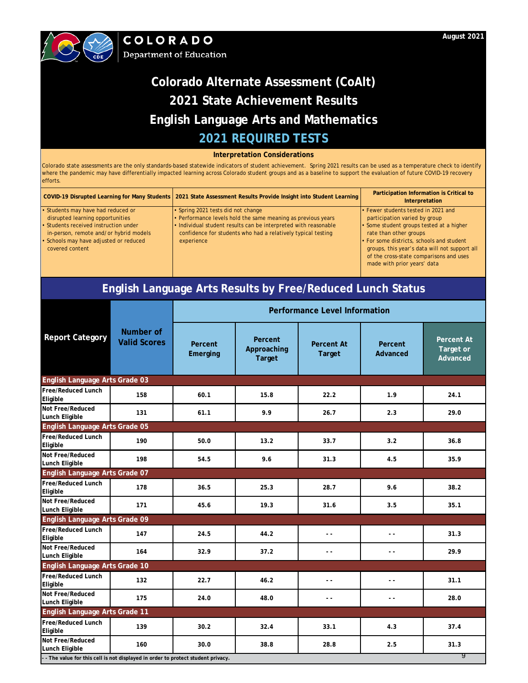

#### **Interpretation Considerations**

Colorado state assessments are the only standards-based statewide indicators of student achievement. Spring 2021 results can be used as a temperature check to identify where the pandemic may have differentially impacted learning across Colorado student groups and as a baseline to support the evaluation of future COVID-19 recovery efforts.

|                                                                                                                                                                                                                  | COVID-19 Disrupted Learning for Many Students   2021 State Assessment Results Provide Insight into Student Learning                                                                                                                                 | Participation Information is Critical to<br>Interpretation                                                                                                                                                                               |
|------------------------------------------------------------------------------------------------------------------------------------------------------------------------------------------------------------------|-----------------------------------------------------------------------------------------------------------------------------------------------------------------------------------------------------------------------------------------------------|------------------------------------------------------------------------------------------------------------------------------------------------------------------------------------------------------------------------------------------|
| Students may have had reduced or<br>disrupted learning opportunities<br>Students received instruction under<br>in-person, remote and/or hybrid models<br>Schools may have adjusted or reduced<br>covered content | • Spring 2021 tests did not change<br>• Performance levels hold the same meaning as previous years<br>• Individual student results can be interpreted with reasonable<br>confidence for students who had a relatively typical testing<br>experience | • Fewer students tested in 2021 and<br>participation varied by group<br>• Some student groups tested at a higher<br>rate than other groups<br>• For some districts, schools and student<br>groups, this year's data will not support all |
|                                                                                                                                                                                                                  |                                                                                                                                                                                                                                                     | of the cross-state comparisons and uses<br>made with prior years' data                                                                                                                                                                   |

## **English Language Arts Results by Free/Reduced Lunch Status**

|                                                                                   |                                  | Performance Level Information |                                         |                             |                          |                                            |  |
|-----------------------------------------------------------------------------------|----------------------------------|-------------------------------|-----------------------------------------|-----------------------------|--------------------------|--------------------------------------------|--|
| <b>Report Category</b>                                                            | Number of<br><b>Valid Scores</b> | Percent<br>Emerging           | Percent<br>Approaching<br><b>Target</b> | Percent At<br><b>Target</b> | Percent<br>Advanced      | <b>Percent At</b><br>Target or<br>Advanced |  |
| English Language Arts Grade 03                                                    |                                  |                               |                                         |                             |                          |                                            |  |
| Free/Reduced Lunch<br>Eligible                                                    | 158                              | 60.1                          | 15.8                                    | 22.2                        | 1.9                      | 24.1                                       |  |
| Not Free/Reduced<br>Lunch Eligible                                                | 131                              | 61.1                          | 9.9                                     | 26.7                        | 2.3                      | 29.0                                       |  |
| English Language Arts Grade 05                                                    |                                  |                               |                                         |                             |                          |                                            |  |
| Free/Reduced Lunch<br>Eligible                                                    | 190                              | 50.0                          | 13.2                                    | 33.7                        | 3.2                      | 36.8                                       |  |
| Not Free/Reduced<br>Lunch Eligible                                                | 198                              | 54.5                          | 9.6                                     | 31.3                        | 4.5                      | 35.9                                       |  |
| English Language Arts Grade 07                                                    |                                  |                               |                                         |                             |                          |                                            |  |
| Free/Reduced Lunch<br>Eligible                                                    | 178                              | 36.5                          | 25.3                                    | 28.7                        | 9.6                      | 38.2                                       |  |
| Not Free/Reduced<br>Lunch Eligible                                                | 171                              | 45.6                          | 19.3                                    | 31.6                        | 3.5                      | 35.1                                       |  |
| English Language Arts Grade 09                                                    |                                  |                               |                                         |                             |                          |                                            |  |
| Free/Reduced Lunch<br>Eligible                                                    | 147                              | 24.5                          | 44.2                                    | $\sim$ $\sim$               | $\sim$ $\sim$            | 31.3                                       |  |
| Not Free/Reduced<br>Lunch Eligible                                                | 164                              | 32.9                          | 37.2                                    | $\sim$ $\sim$               | $\overline{\phantom{a}}$ | 29.9                                       |  |
| English Language Arts Grade 10                                                    |                                  |                               |                                         |                             |                          |                                            |  |
| Free/Reduced Lunch<br>Eligible                                                    | 132                              | 22.7                          | 46.2                                    | $\sim$ $\sim$               | $\sim$ $\sim$            | 31.1                                       |  |
| Not Free/Reduced<br>Lunch Eligible                                                | 175                              | 24.0                          | 48.0                                    | $\overline{a}$              | $\overline{\phantom{a}}$ | 28.0                                       |  |
| English Language Arts Grade 11                                                    |                                  |                               |                                         |                             |                          |                                            |  |
| Free/Reduced Lunch<br>Eligible                                                    | 139                              | 30.2                          | 32.4                                    | 33.1                        | 4.3                      | 37.4                                       |  |
| Not Free/Reduced<br>Lunch Eligible                                                | 160                              | 30.0                          | 38.8                                    | 28.8                        | 2.5                      | 31.3                                       |  |
| - - The value for this cell is not displayed in order to protect student privacy. |                                  |                               |                                         |                             |                          | 9                                          |  |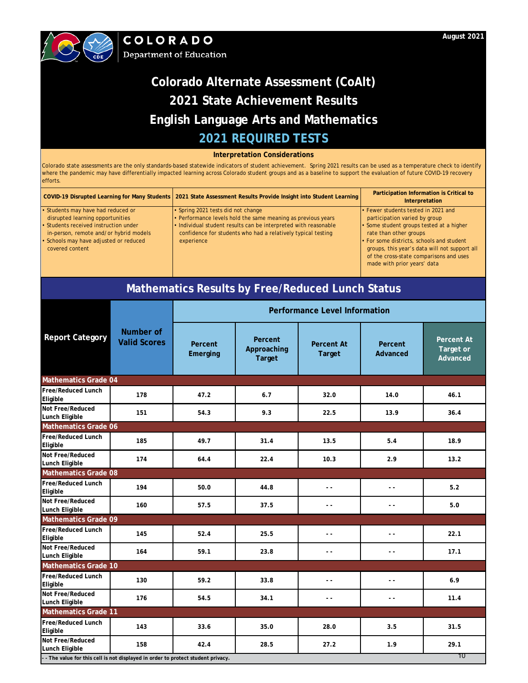

#### **Interpretation Considerations**

Colorado state assessments are the only standards-based statewide indicators of student achievement. Spring 2021 results can be used as a temperature check to identify where the pandemic may have differentially impacted learning across Colorado student groups and as a baseline to support the evaluation of future COVID-19 recovery efforts.

|                                                                                                                                                                                                                    | COVID-19 Disrupted Learning for Many Students   2021 State Assessment Results Provide Insight into Student Learning                                                                                                                                 | Participation Information is Critical to<br>Interpretation                                                                                                                                                                                                                                                         |
|--------------------------------------------------------------------------------------------------------------------------------------------------------------------------------------------------------------------|-----------------------------------------------------------------------------------------------------------------------------------------------------------------------------------------------------------------------------------------------------|--------------------------------------------------------------------------------------------------------------------------------------------------------------------------------------------------------------------------------------------------------------------------------------------------------------------|
| Students may have had reduced or<br>disrupted learning opportunities<br>Students received instruction under<br>in-person, remote and/or hybrid models<br>· Schools may have adjusted or reduced<br>covered content | • Spring 2021 tests did not change<br>• Performance levels hold the same meaning as previous years<br>• Individual student results can be interpreted with reasonable<br>confidence for students who had a relatively typical testing<br>experience | • Fewer students tested in 2021 and<br>participation varied by group<br>• Some student groups tested at a higher<br>rate than other groups<br>. For some districts, schools and student<br>groups, this year's data will not support all<br>of the cross-state comparisons and uses<br>made with prior years' data |

## **Mathematics Results by Free/Reduced Lunch Status**

|                                       |                                                                                       | <b>Performance Level Information</b> |                                         |                                    |                     |                                            |  |  |  |
|---------------------------------------|---------------------------------------------------------------------------------------|--------------------------------------|-----------------------------------------|------------------------------------|---------------------|--------------------------------------------|--|--|--|
| <b>Report Category</b>                | Number of<br><b>Valid Scores</b>                                                      | Percent<br>Emerging                  | Percent<br>Approaching<br><b>Target</b> | <b>Percent At</b><br><b>Target</b> | Percent<br>Advanced | <b>Percent At</b><br>Target or<br>Advanced |  |  |  |
| <b>Mathematics Grade 04</b>           |                                                                                       |                                      |                                         |                                    |                     |                                            |  |  |  |
| <b>Free/Reduced Lunch</b><br>Eligible | 178                                                                                   | 47.2                                 | 6.7                                     | 32.0                               | 14.0                | 46.1                                       |  |  |  |
| Not Free/Reduced<br>Lunch Eligible    | 151                                                                                   | 54.3                                 | 9.3                                     | 22.5                               | 13.9                | 36.4                                       |  |  |  |
| <b>Mathematics Grade 06</b>           |                                                                                       |                                      |                                         |                                    |                     |                                            |  |  |  |
| Free/Reduced Lunch<br>Eligible        | 185                                                                                   | 49.7                                 | 31.4                                    | 13.5                               | 5.4                 | 18.9                                       |  |  |  |
| Not Free/Reduced<br>Lunch Eligible    | 174                                                                                   | 64.4                                 | 22.4                                    | 10.3                               | 2.9                 | 13.2                                       |  |  |  |
| <b>Mathematics Grade 08</b>           |                                                                                       |                                      |                                         |                                    |                     |                                            |  |  |  |
| <b>Free/Reduced Lunch</b><br>Eligible | 194                                                                                   | 50.0                                 | 44.8                                    | $\overline{a}$                     | $\overline{a}$      | 5.2                                        |  |  |  |
| Not Free/Reduced<br>Lunch Eligible    | 160                                                                                   | 57.5                                 | 37.5                                    | $\sim$ $\sim$                      | $\overline{a}$      | 5.0                                        |  |  |  |
| <b>Mathematics Grade 09</b>           |                                                                                       |                                      |                                         |                                    |                     |                                            |  |  |  |
| <b>Free/Reduced Lunch</b><br>Eligible | 145                                                                                   | 52.4                                 | 25.5                                    | $\sim$ $\sim$                      | $\sim$ $\sim$       | 22.1                                       |  |  |  |
| Not Free/Reduced<br>Lunch Eligible    | 164                                                                                   | 59.1                                 | 23.8                                    | $\overline{a}$                     | $\overline{a}$      | 17.1                                       |  |  |  |
| <b>Mathematics Grade 10</b>           |                                                                                       |                                      |                                         |                                    |                     |                                            |  |  |  |
| <b>Free/Reduced Lunch</b><br>Eligible | 130                                                                                   | 59.2                                 | 33.8                                    | $\sim$ $\sim$                      | $\overline{a}$      | 6.9                                        |  |  |  |
| Not Free/Reduced<br>Lunch Eligible    | 176                                                                                   | 54.5                                 | 34.1                                    | $\overline{a}$                     | $\overline{a}$      | 11.4                                       |  |  |  |
| <b>Mathematics Grade 11</b>           |                                                                                       |                                      |                                         |                                    |                     |                                            |  |  |  |
| <b>Free/Reduced Lunch</b><br>Eligible | 143                                                                                   | 33.6                                 | 35.0                                    | 28.0                               | 3.5                 | 31.5                                       |  |  |  |
| Not Free/Reduced<br>Lunch Eligible    | 158                                                                                   | 42.4                                 | 28.5                                    | 27.2                               | 1.9                 | 29.1                                       |  |  |  |
|                                       | 10<br>- The value for this cell is not displayed in order to protect student privacy. |                                      |                                         |                                    |                     |                                            |  |  |  |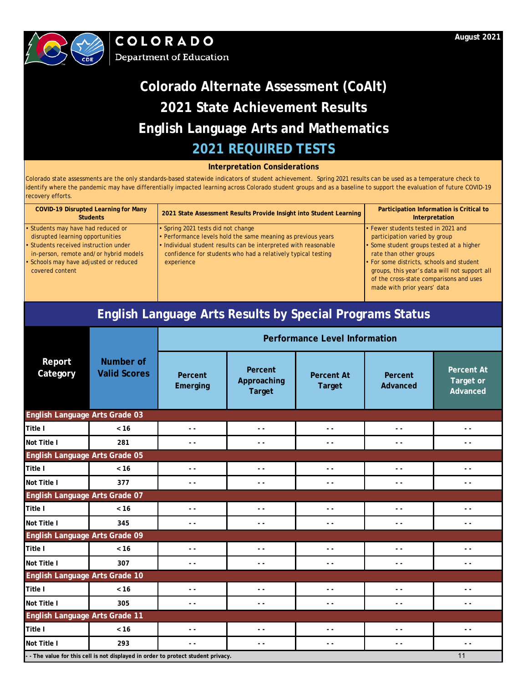



### **Interpretation Considerations**

| <b>COVID-19 Disrupted Learning for Many</b><br><b>Students</b>                  | 2021 State Assessment Results Provide Insight into Student Learning                                                             | Participation Information is Critical to<br>Interpretation                                                                                                           |
|---------------------------------------------------------------------------------|---------------------------------------------------------------------------------------------------------------------------------|----------------------------------------------------------------------------------------------------------------------------------------------------------------------|
| • Students may have had reduced or                                              | • Spring 2021 tests did not change                                                                                              | • Fewer students tested in 2021 and                                                                                                                                  |
| disrupted learning opportunities                                                | • Performance levels hold the same meaning as previous years                                                                    | participation varied by group                                                                                                                                        |
| • Students received instruction under<br>in-person, remote and/or hybrid models | . Individual student results can be interpreted with reasonable<br>confidence for students who had a relatively typical testing | • Some student groups tested at a higher<br>rate than other groups                                                                                                   |
| • Schools may have adjusted or reduced<br>covered content                       | experience                                                                                                                      | . For some districts, schools and student<br>groups, this year's data will not support all<br>of the cross-state comparisons and uses<br>made with prior years' data |

| <b>English Language Arts Results by Special Programs Status</b> |                                                                                 |                                      |                                         |                                    |                          |                                            |  |
|-----------------------------------------------------------------|---------------------------------------------------------------------------------|--------------------------------------|-----------------------------------------|------------------------------------|--------------------------|--------------------------------------------|--|
|                                                                 |                                                                                 | <b>Performance Level Information</b> |                                         |                                    |                          |                                            |  |
| Report<br>Category                                              | <b>Number of</b><br><b>Valid Scores</b>                                         | Percent<br>Emerging                  | Percent<br>Approaching<br><b>Target</b> | <b>Percent At</b><br><b>Target</b> | Percent<br>Advanced      | <b>Percent At</b><br>Target or<br>Advanced |  |
| English Language Arts Grade 03                                  |                                                                                 |                                      |                                         |                                    |                          |                                            |  |
| Title I                                                         | < 16                                                                            | $ -$                                 | $ -$                                    | $\sim$ $\sim$                      | $\overline{\phantom{a}}$ | $\overline{\phantom{a}}$                   |  |
| Not Title I                                                     | 281                                                                             | $ -$                                 | $\sim$ $\sim$                           | $ -$                               | $ -$                     | $- -$                                      |  |
| English Language Arts Grade 05                                  |                                                                                 |                                      |                                         |                                    |                          |                                            |  |
| Title I                                                         | < 16                                                                            | $ -$                                 | $ -$                                    | $ -$                               | $ -$                     | $ -$                                       |  |
| Not Title I                                                     | 377                                                                             | $ -$                                 | $ -$                                    | $\sim$ $\sim$                      | $\overline{a}$           | $ -$                                       |  |
| English Language Arts Grade 07                                  |                                                                                 |                                      |                                         |                                    |                          |                                            |  |
| Title I                                                         | < 16                                                                            | $\sim$ $\sim$                        | $ -$                                    | $ -$                               | $\overline{\phantom{a}}$ | $\sim$ $\sim$                              |  |
| Not Title I                                                     | 345                                                                             | $\sim$ $\sim$                        | $\sim$ $\sim$                           | $ -$                               | $ -$                     | - -                                        |  |
| English Language Arts Grade 09                                  |                                                                                 |                                      |                                         |                                    |                          |                                            |  |
| Title I                                                         | < 16                                                                            | $\sim$ $\sim$                        | $\sim$ $\sim$                           | $\sim$ $\sim$                      | $\overline{a}$           | $-$                                        |  |
| Not Title I                                                     | 307                                                                             | $\sim$ $\sim$                        | $\sim$ $\sim$                           | $\sim$ $\sim$                      | $\sim$ $\sim$            | $-$                                        |  |
| English Language Arts Grade 10                                  |                                                                                 |                                      |                                         |                                    |                          |                                            |  |
| Title I                                                         | $< 16$                                                                          | $ -$                                 | $ -$                                    | $ -$                               | $\overline{\phantom{a}}$ | - -                                        |  |
| Not Title I                                                     | 305                                                                             | $\sim$ $\sim$                        | $ -$                                    | $ -$                               | $\overline{a}$           | $-$                                        |  |
| English Language Arts Grade 11                                  |                                                                                 |                                      |                                         |                                    |                          |                                            |  |
| Title I                                                         | < 16                                                                            | $ -$                                 | $ -$                                    | $ -$                               | $ -$                     | . .                                        |  |
| Not Title I                                                     | 293                                                                             | $ -$                                 | $ -$                                    | $\sim$ $\sim$                      | $\sim$ $\sim$            | $\sim$ $\sim$                              |  |
|                                                                 | - The value for this cell is not displayed in order to protect student privacy. |                                      |                                         |                                    |                          | 11                                         |  |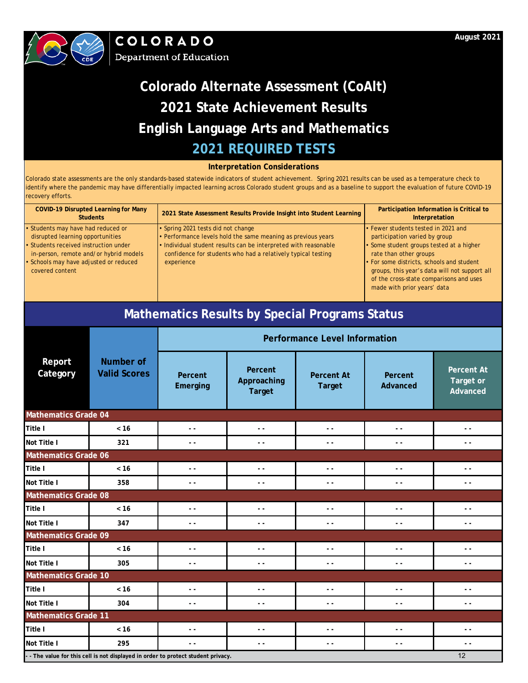



### **Interpretation Considerations**

Colorado state assessments are the only standards-based statewide indicators of student achievement. Spring 2021 results can be used as a temperature check to identify where the pandemic may have differentially impacted learning across Colorado student groups and as a baseline to support the evaluation of future COVID-19 recovery efforts.

| <b>COVID-19 Disrupted Learning for Many</b><br><b>Students</b> | 2021 State Assessment Results Provide Insight into Student Learning | Participation Information is Critical to<br>Interpretation |
|----------------------------------------------------------------|---------------------------------------------------------------------|------------------------------------------------------------|
| • Students may have had reduced or                             | • Spring 2021 tests did not change                                  | • Fewer students tested in 2021 and                        |
| disrupted learning opportunities                               | • Performance levels hold the same meaning as previous years        | participation varied by group                              |
| • Students received instruction under                          | . Individual student results can be interpreted with reasonable     | • Some student groups tested at a higher                   |
| in-person, remote and/or hybrid models                         | confidence for students who had a relatively typical testing        | rate than other groups                                     |
| • Schools may have adjusted or reduced                         | experience                                                          | • For some districts, schools and student                  |
| covered content                                                |                                                                     | groups, this year's data will not support all              |
|                                                                |                                                                     | of the cross-state comparisons and uses                    |
|                                                                |                                                                     | made with prior years' data                                |

# **Mathematics Results by Special Programs Status**

|                             |                                                                                   | <b>Performance Level Information</b> |                                         |                                    |                     |                                            |  |  |
|-----------------------------|-----------------------------------------------------------------------------------|--------------------------------------|-----------------------------------------|------------------------------------|---------------------|--------------------------------------------|--|--|
| Report<br>Category          | Number of<br><b>Valid Scores</b>                                                  | Percent<br>Emerging                  | Percent<br>Approaching<br><b>Target</b> | <b>Percent At</b><br><b>Target</b> | Percent<br>Advanced | <b>Percent At</b><br>Target or<br>Advanced |  |  |
| <b>Mathematics Grade 04</b> |                                                                                   |                                      |                                         |                                    |                     |                                            |  |  |
| Title I                     | < 16                                                                              | $\sim$ $\sim$                        | $\sim$ $\sim$                           | $\overline{\phantom{a}}$           | $ -$                | $ -$                                       |  |  |
| Not Title I                 | 321                                                                               | $\sim$ $\sim$                        | $\sim$ $\sim$                           | $\sim$ $\sim$                      | $\sim$ $\sim$       | $ -$                                       |  |  |
| <b>Mathematics Grade 06</b> |                                                                                   |                                      |                                         |                                    |                     |                                            |  |  |
| <b>Title I</b>              | < 16                                                                              | $\overline{a}$                       | $\sim$ $\sim$                           | $ -$                               | $ -$                | $ -$                                       |  |  |
| Not Title I                 | 358                                                                               | $\sim$ $\sim$                        | $\sim$ $\sim$                           | $\sim$ $\sim$                      | $ -$                | $ -$                                       |  |  |
| <b>Mathematics Grade 08</b> |                                                                                   |                                      |                                         |                                    |                     |                                            |  |  |
| <b>Title I</b>              | $< 16$                                                                            | $\overline{a}$                       | $ -$                                    | $ -$                               | $ -$                | $ -$                                       |  |  |
| Not Title I                 | 347                                                                               | $\sim$ $\sim$                        | $\sim$ $\sim$                           | $\overline{a}$                     | $\sim$ $\sim$       | $\sim$ $\sim$                              |  |  |
| <b>Mathematics Grade 09</b> |                                                                                   |                                      |                                         |                                    |                     |                                            |  |  |
| <b>Title I</b>              | < 16                                                                              | $\overline{a}$                       | $\sim$ $\sim$                           | $ -$                               | $\sim$ $\sim$       | $ -$                                       |  |  |
| Not Title I                 | 305                                                                               | $\sim$ $\sim$                        | $\sim$ $\sim$                           | $ -$                               | $\sim$ $\sim$       | $ -$                                       |  |  |
| <b>Mathematics Grade 10</b> |                                                                                   |                                      |                                         |                                    |                     |                                            |  |  |
| Title I                     | < 16                                                                              | $\overline{a}$                       | $\sim$ $\sim$                           | $ -$                               | $\sim$ $\sim$       | $ -$                                       |  |  |
| Not Title I                 | 304                                                                               | - -                                  | - -                                     | $\overline{a}$                     | $\sim$ $\sim$       | $ -$                                       |  |  |
| <b>Mathematics Grade 11</b> |                                                                                   |                                      |                                         |                                    |                     |                                            |  |  |
| <b>Title I</b>              | < 16                                                                              | $\overline{a}$                       | $\sim$ $\sim$                           | $\overline{a}$                     | $\sim$ $\sim$       | $\sim$ $\sim$                              |  |  |
| Not Title I                 | 295                                                                               | $ -$                                 | $ -$                                    | $ -$                               | $ -$                | $ -$                                       |  |  |
|                             | - - The value for this cell is not displayed in order to protect student privacy. |                                      |                                         |                                    |                     | 12                                         |  |  |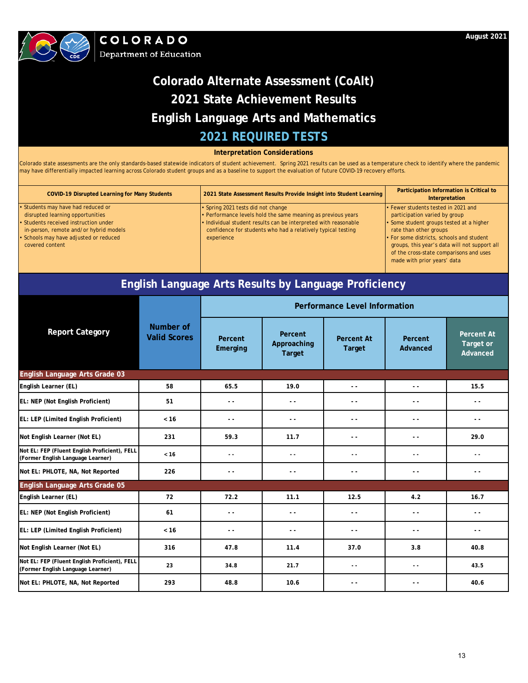

## **2021 REQUIRED TESTS Colorado Alternate Assessment (CoAlt) 2021 State Achievement Results English Language Arts and Mathematics**

**Interpretation Considerations**

Colorado state assessments are the only standards-based statewide indicators of student achievement. Spring 2021 results can be used as a temperature check to identify where the pandemic may have differentially impacted learning across Colorado student groups and as a baseline to support the evaluation of future COVID-19 recovery efforts.

| <b>COVID-19 Disrupted Learning for Many Students</b> | 2021 State Assessment Results Provide Insight into Student Learning | Participation Information is Critical to<br>Interpretation |
|------------------------------------------------------|---------------------------------------------------------------------|------------------------------------------------------------|
| · Students may have had reduced or                   | • Spring 2021 tests did not change                                  | • Fewer students tested in 2021 and                        |
| disrupted learning opportunities                     | • Performance levels hold the same meaning as previous years        | participation varied by group                              |
| • Students received instruction under                | . Individual student results can be interpreted with reasonable     | • Some student groups tested at a higher                   |
| in-person, remote and/or hybrid models               | confidence for students who had a relatively typical testing        | rate than other groups                                     |
| · Schools may have adjusted or reduced               | experience                                                          | . For some districts, schools and student                  |
| covered content                                      |                                                                     | groups, this year's data will not support all              |
|                                                      |                                                                     | of the cross-state comparisons and uses                    |
|                                                      |                                                                     | made with prior years' data                                |
|                                                      |                                                                     |                                                            |

## **English Language Arts Results by Language Proficiency**

|                                                                                    |                                  | <b>Performance Level Information</b> |                                         |                                    |                          |                                            |  |  |  |
|------------------------------------------------------------------------------------|----------------------------------|--------------------------------------|-----------------------------------------|------------------------------------|--------------------------|--------------------------------------------|--|--|--|
| <b>Report Category</b>                                                             | Number of<br><b>Valid Scores</b> | Percent<br>Emerging                  | Percent<br>Approaching<br><b>Target</b> | <b>Percent At</b><br><b>Target</b> | Percent<br>Advanced      | <b>Percent At</b><br>Target or<br>Advanced |  |  |  |
| English Language Arts Grade 03                                                     |                                  |                                      |                                         |                                    |                          |                                            |  |  |  |
| English Learner (EL)                                                               | 58                               | 65.5                                 | 19.0                                    | $\sim$ $\sim$                      | $\sim$ $\sim$            | 15.5                                       |  |  |  |
| EL: NEP (Not English Proficient)                                                   | 51                               | $ -$                                 | $ -$                                    | $ -$                               | $\overline{\phantom{a}}$ | $ -$                                       |  |  |  |
| EL: LEP (Limited English Proficient)                                               | < 16                             | $\sim$ $\sim$                        | - -                                     | $ -$                               | - -                      | $ -$                                       |  |  |  |
| Not English Learner (Not EL)                                                       | 231                              | 59.3                                 | 11.7                                    | - -                                | . .                      | 29.0                                       |  |  |  |
| Not EL: FEP (Fluent English Proficient), FELL<br>(Former English Language Learner) | < 16                             | $\sim$ $\sim$                        | $\sim$ $\sim$                           | $\sim$ $\sim$                      | $\overline{a}$           | $ -$                                       |  |  |  |
| Not EL: PHLOTE, NA, Not Reported                                                   | 226                              | $ -$                                 | - -                                     | $ -$                               | - -                      | $ -$                                       |  |  |  |
| English Language Arts Grade 05                                                     |                                  |                                      |                                         |                                    |                          |                                            |  |  |  |
| English Learner (EL)                                                               | 72                               | 72.2                                 | 11.1                                    | 12.5                               | 4.2                      | 16.7                                       |  |  |  |
| EL: NEP (Not English Proficient)                                                   | 61                               | $ -$                                 | - -                                     | $ -$                               | . .                      | $ -$                                       |  |  |  |
| EL: LEP (Limited English Proficient)                                               | < 16                             | $ -$                                 | . .                                     | $ -$                               | . .                      | $ -$                                       |  |  |  |
| Not English Learner (Not EL)                                                       | 316                              | 47.8                                 | 11.4                                    | 37.0                               | 3.8                      | 40.8                                       |  |  |  |
| Not EL: FEP (Fluent English Proficient), FELL<br>(Former English Language Learner) | 23                               | 34.8                                 | 21.7                                    | $\sim$ $\sim$                      | $ -$                     | 43.5                                       |  |  |  |
| Not EL: PHLOTE, NA, Not Reported                                                   | 293                              | 48.8                                 | 10.6                                    | - -                                | - -                      | 40.6                                       |  |  |  |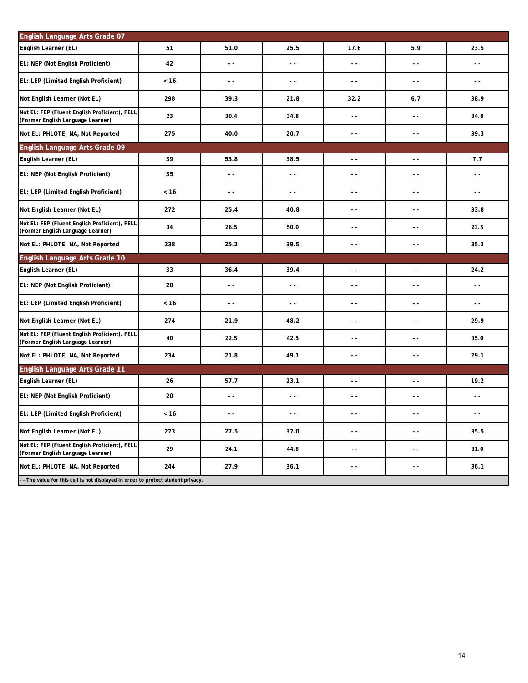| English Language Arts Grade 07                                                     |      |                          |                          |                          |                          |               |  |
|------------------------------------------------------------------------------------|------|--------------------------|--------------------------|--------------------------|--------------------------|---------------|--|
| English Learner (EL)                                                               | 51   | 51.0                     | 25.5                     | 17.6                     | 5.9                      | 23.5          |  |
| EL: NEP (Not English Proficient)                                                   | 42   | $\overline{\phantom{a}}$ | $\sim$ $\sim$            | $\sim$ $\sim$            | $\sim$ $\sim$            | $\sim$ $\sim$ |  |
| EL: LEP (Limited English Proficient)                                               | < 16 | $\sim$ $\sim$            | $\sim$ $\sim$            | $\sim$ $\sim$            | $\sim$ $\sim$            | $ -$          |  |
| Not English Learner (Not EL)                                                       | 298  | 39.3                     | 21.8                     | 32.2                     | 6.7                      | 38.9          |  |
| Not EL: FEP (Fluent English Proficient), FELL<br>(Former English Language Learner) | 23   | 30.4                     | 34.8                     | - -                      | $\sim$ $\sim$            | 34.8          |  |
| Not EL: PHLOTE, NA, Not Reported                                                   | 275  | 40.0                     | 20.7                     | - -                      | $\sim$ $\sim$            | 39.3          |  |
| English Language Arts Grade 09                                                     |      |                          |                          |                          |                          |               |  |
| English Learner (EL)                                                               | 39   | 53.8                     | 38.5                     | $\sim$ $\sim$            | $\sim$ $\sim$            | 7.7           |  |
| EL: NEP (Not English Proficient)                                                   | 35   | $\sim$ $\sim$            | $\sim$ $\sim$            | $\sim$ $\sim$            | $\sim$ $\sim$            | $\sim$ $\sim$ |  |
| EL: LEP (Limited English Proficient)                                               | < 16 | $\sim$ $\sim$            | $\sim$ $\sim$            | $\sim$ $\sim$            | $\sim$ $\sim$            | $ -$          |  |
| Not English Learner (Not EL)                                                       | 272  | 25.4                     | 40.8                     | $\sim$ $\sim$            | $\sim$ $\sim$            | 33.8          |  |
| Not EL: FEP (Fluent English Proficient), FELL<br>(Former English Language Learner) | 34   | 26.5                     | 50.0                     | $\sim$ $\sim$            | $\sim$ $\sim$            | 23.5          |  |
| Not EL: PHLOTE, NA, Not Reported                                                   | 238  | 25.2                     | 39.5                     | $\sim$ $\sim$            | $\sim$ $\sim$            | 35.3          |  |
| English Language Arts Grade 10                                                     |      |                          |                          |                          |                          |               |  |
|                                                                                    |      |                          |                          |                          |                          |               |  |
| English Learner (EL)                                                               | 33   | 36.4                     | 39.4                     | $\overline{\phantom{a}}$ | $\ddot{\phantom{0}}$     | 24.2          |  |
| EL: NEP (Not English Proficient)                                                   | 28   | $\sim$ $\sim$            | $\sim$ $\sim$            | $\sim$ $\sim$            | $\sim$ $\sim$            | $ -$          |  |
| EL: LEP (Limited English Proficient)                                               | < 16 | $\sim$ $\sim$            | $\overline{\phantom{a}}$ | $\sim$ $\sim$            | $\sim$ $\sim$            | $ -$          |  |
| Not English Learner (Not EL)                                                       | 274  | 21.9                     | 48.2                     | $\sim$ $\sim$            | $\sim$ $\sim$            | 29.9          |  |
| Not EL: FEP (Fluent English Proficient), FELL<br>(Former English Language Learner) | 40   | 22.5                     | 42.5                     | 44                       | $\sim$ $\sim$            | 35.0          |  |
| Not EL: PHLOTE, NA, Not Reported                                                   | 234  | 21.8                     | 49.1                     | $\sim$ $\sim$            | $\sim$ $\sim$            | 29.1          |  |
| English Language Arts Grade 11                                                     |      |                          |                          |                          |                          |               |  |
| English Learner (EL)                                                               | 26   | 57.7                     | 23.1                     | $\overline{a}$           | $\overline{a}$           | 19.2          |  |
| EL: NEP (Not English Proficient)                                                   | 20   | $\overline{\phantom{a}}$ | $ -$                     | $\sim$ $\sim$            | $\overline{\phantom{a}}$ | $ -$          |  |
| EL: LEP (Limited English Proficient)                                               | < 16 | $\sim$ $\sim$            | $\overline{\phantom{a}}$ | - -                      | $\sim$ $\sim$            | $\sim$ $\sim$ |  |
| Not English Learner (Not EL)                                                       | 273  | 27.5                     | 37.0                     | - -                      | $\sim$ $\sim$            | 35.5          |  |
| Not EL: FEP (Fluent English Proficient), FELL<br>(Former English Language Learner) | 29   | 24.1                     | 44.8                     | ٠.                       | $\sim$ $\sim$            | 31.0          |  |
| Not EL: PHLOTE, NA, Not Reported                                                   | 244  | 27.9                     | 36.1                     | - -                      | $\sim$ $\sim$            | 36.1          |  |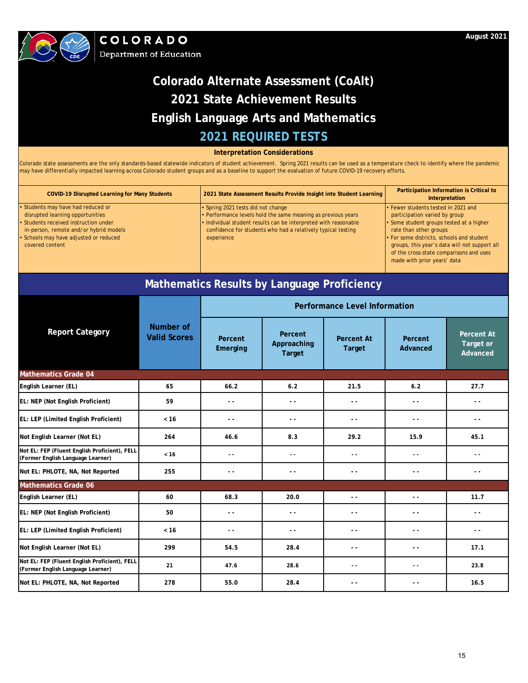

COLORADO **Department of Education** 

## **2021 REQUIRED TESTS Colorado Alternate Assessment (CoAlt) 2021 State Achievement Results English Language Arts and Mathematics**

**Interpretation Considerations**

Colorado state assessments are the only standards-based statewide indicators of student achievement. Spring 2021 results can be used as a temperature check to identify where the pandemic may have differentially impacted learning across Colorado student groups and as a baseline to support the evaluation of future COVID-19 recovery efforts.

| <b>COVID-19 Disrupted Learning for Many Students</b>                                                                                                                                                               | 2021 State Assessment Results Provide Insight into Student Learning                                                                                                                                                                                 | Participation Information is Critical to<br>Interpretation                                                                                                                                                                                                                                                         |
|--------------------------------------------------------------------------------------------------------------------------------------------------------------------------------------------------------------------|-----------------------------------------------------------------------------------------------------------------------------------------------------------------------------------------------------------------------------------------------------|--------------------------------------------------------------------------------------------------------------------------------------------------------------------------------------------------------------------------------------------------------------------------------------------------------------------|
| Students may have had reduced or<br>disrupted learning opportunities<br>• Students received instruction under<br>in-person, remote and/or hybrid models<br>Schools may have adjusted or reduced<br>covered content | • Spring 2021 tests did not change<br>• Performance levels hold the same meaning as previous years<br>. Individual student results can be interpreted with reasonable<br>confidence for students who had a relatively typical testing<br>experience | • Fewer students tested in 2021 and<br>participation varied by group<br>• Some student groups tested at a higher<br>rate than other groups<br>• For some districts, schools and student<br>groups, this year's data will not support all<br>of the cross-state comparisons and uses<br>made with prior years' data |
|                                                                                                                                                                                                                    |                                                                                                                                                                                                                                                     |                                                                                                                                                                                                                                                                                                                    |

## **Mathematics Results by Language Proficiency**

|                                                                                    |                                  | <b>Performance Level Information</b> |                                         |                                    |                          |                                            |  |
|------------------------------------------------------------------------------------|----------------------------------|--------------------------------------|-----------------------------------------|------------------------------------|--------------------------|--------------------------------------------|--|
| <b>Report Category</b>                                                             | Number of<br><b>Valid Scores</b> | Percent<br>Emerging                  | Percent<br>Approaching<br><b>Target</b> | <b>Percent At</b><br><b>Target</b> | Percent<br>Advanced      | <b>Percent At</b><br>Target or<br>Advanced |  |
| <b>Mathematics Grade 04</b>                                                        |                                  |                                      |                                         |                                    |                          |                                            |  |
| English Learner (EL)                                                               | 65                               | 66.2                                 | 6.2                                     | 21.5                               | 6.2                      | 27.7                                       |  |
| EL: NEP (Not English Proficient)                                                   | 59                               | $ -$                                 | $ -$                                    | $ -$                               | $ -$                     | $ -$                                       |  |
| EL: LEP (Limited English Proficient)                                               | < 16                             | $ -$                                 | $ -$                                    | $\sim$ $\sim$                      | $ -$                     | $\sim$ $\sim$                              |  |
| Not English Learner (Not EL)                                                       | 264                              | 46.6                                 | 8.3                                     | 29.2                               | 15.9                     | 45.1                                       |  |
| Not EL: FEP (Fluent English Proficient), FELL<br>(Former English Language Learner) | < 16                             | $\sim$ $\sim$                        | $\sim$ $\sim$                           | $ -$                               | . .                      | $ -$                                       |  |
| Not EL: PHLOTE, NA, Not Reported                                                   | 255                              | $\sim$ $\sim$                        | - -                                     | $ -$                               | $ -$                     | $ -$                                       |  |
| <b>Mathematics Grade 06</b>                                                        |                                  |                                      |                                         |                                    |                          |                                            |  |
| English Learner (EL)                                                               | 60                               | 68.3                                 | 20.0                                    | $\sim$ $\sim$                      | $\overline{a}$           | 11.7                                       |  |
| EL: NEP (Not English Proficient)                                                   | 50                               | $ -$                                 | $ -$                                    | $\sim$ $\sim$                      | - -                      | $ -$                                       |  |
| EL: LEP (Limited English Proficient)                                               | < 16                             | $\sim$ $\sim$                        | $ -$                                    | $ -$                               | - -                      | $ -$                                       |  |
| Not English Learner (Not EL)                                                       | 299                              | 54.5                                 | 28.4                                    | $ -$                               | $\overline{\phantom{a}}$ | 17.1                                       |  |
| Not EL: FEP (Fluent English Proficient), FELL<br>(Former English Language Learner) | 21                               | 47.6                                 | 28.6                                    | $\sim$ $\sim$                      | . .                      | 23.8                                       |  |
| Not EL: PHLOTE, NA, Not Reported                                                   | 278                              | 55.0                                 | 28.4                                    | $\sim$ $\sim$                      | $\sim$ $\sim$            | 16.5                                       |  |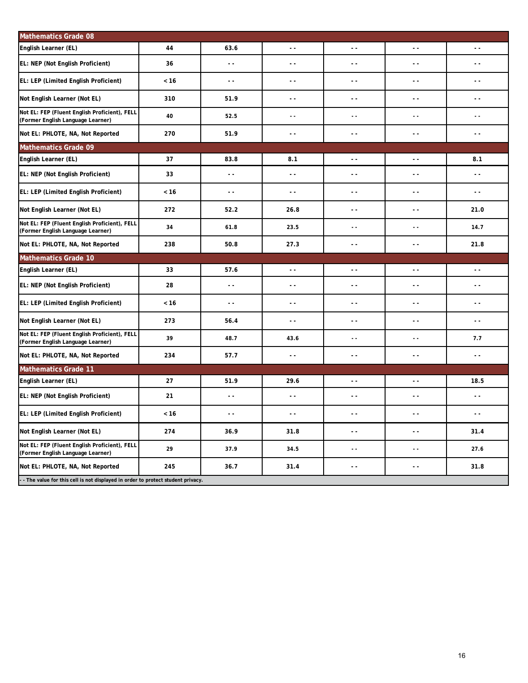| <b>Mathematics Grade 08</b>                                                        |      |                          |                          |                          |                          |                          |
|------------------------------------------------------------------------------------|------|--------------------------|--------------------------|--------------------------|--------------------------|--------------------------|
| English Learner (EL)                                                               | 44   | 63.6                     | $\sim$ $\sim$            | $\sim$ $\sim$            | $\sim$ $\sim$            | $\overline{\phantom{a}}$ |
| EL: NEP (Not English Proficient)                                                   | 36   | $\sim$ $\sim$            | $ -$                     | $\sim$ $\sim$            | $\sim$ $\sim$            | $ -$                     |
| EL: LEP (Limited English Proficient)                                               | < 16 | $ -$                     | $\overline{\phantom{a}}$ | $\sim$ $\sim$            | $\overline{\phantom{a}}$ | $ -$                     |
| Not English Learner (Not EL)                                                       | 310  | 51.9                     | $\sim$ $\sim$            | $\sim$ $\sim$            | $\sim$ $\sim$            | $\sim$ $\sim$            |
| Not EL: FEP (Fluent English Proficient), FELL<br>(Former English Language Learner) | 40   | 52.5                     | $\sim$ $\sim$            | 44                       | $\sim$ $\sim$            | $\overline{a}$           |
| Not EL: PHLOTE, NA, Not Reported                                                   | 270  | 51.9                     | $\sim$ $\sim$            | $\sim$ $\sim$            | $\sim$ $\sim$            | $ -$                     |
| <b>Mathematics Grade 09</b>                                                        |      |                          |                          |                          |                          |                          |
| English Learner (EL)                                                               | 37   | 83.8                     | 8.1                      | $\sim$ $\sim$            | $\sim$ $\sim$            | 8.1                      |
| EL: NEP (Not English Proficient)                                                   | 33   | $\sim$ $\sim$            | $\sim$ $\sim$            | $\sim$ $\sim$            | $\sim$ $\sim$            | $ -$                     |
| EL: LEP (Limited English Proficient)                                               | < 16 | $\sim$ $\sim$            | $\sim$ $\sim$            | $\sim$ $\sim$            | $\sim$ $\sim$            | $ -$                     |
| Not English Learner (Not EL)                                                       | 272  | 52.2                     | 26.8                     | $\sim$ $\sim$            | $\sim$ $\sim$            | 21.0                     |
| Not EL: FEP (Fluent English Proficient), FELL<br>(Former English Language Learner) | 34   | 61.8                     | 23.5                     | $\sim$ $\sim$            | $\sim$ $\sim$            | 14.7                     |
| Not EL: PHLOTE, NA, Not Reported                                                   | 238  | 50.8                     | 27.3                     | $\sim$ $\sim$            | $\sim$ $\sim$            | 21.8                     |
| <b>Mathematics Grade 10</b>                                                        |      |                          |                          |                          |                          |                          |
| English Learner (EL)                                                               | 33   | 57.6                     | $\overline{a}$           | $\overline{a}$           | $\sim$ $\sim$            | $\overline{a}$           |
| EL: NEP (Not English Proficient)                                                   | 28   | $\sim$ $\sim$            | $\sim$ $\sim$            | $\sim$ $\sim$            | $\sim$ $\sim$            | $\sim$ $\sim$            |
| EL: LEP (Limited English Proficient)                                               | < 16 | $\sim$ $\sim$            | $\sim$ $\sim$            | $\sim$ $\sim$            | $\sim$ $\sim$            | $ -$                     |
| Not English Learner (Not EL)                                                       | 273  | 56.4                     | $\sim$ $\sim$            | $\sim$ $\sim$            | $\sim$ $\sim$            | $ -$                     |
| Not EL: FEP (Fluent English Proficient), FELL<br>(Former English Language Learner) | 39   | 48.7                     | 43.6                     | $\overline{a}$           | $\sim$ $\sim$            | 7.7                      |
| Not EL: PHLOTE, NA, Not Reported                                                   | 234  | 57.7                     | $\overline{\phantom{a}}$ | $\sim$ $\sim$            | $\overline{\phantom{a}}$ | $\overline{\phantom{a}}$ |
| <b>Mathematics Grade 11</b>                                                        |      |                          |                          |                          |                          |                          |
| English Learner (EL)                                                               | 27   | 51.9                     | 29.6                     | $\overline{\phantom{a}}$ | $\sim$ $\sim$            | 18.5                     |
| EL: NEP (Not English Proficient)                                                   | 21   | $\overline{\phantom{a}}$ | $\overline{\phantom{a}}$ | $\sim$ $\sim$            | $\sim$ $\sim$            | $\sim$ $\sim$            |
| EL: LEP (Limited English Proficient)                                               | < 16 | $\sim$ $\sim$            | $\overline{\phantom{a}}$ | $\sim$ $\sim$            | $\sim$ $\sim$            | $\sim$ $\sim$            |
| Not English Learner (Not EL)                                                       | 274  | 36.9                     | 31.8                     | $\sim$ $\sim$            | $\sim$ $\sim$            | 31.4                     |
| Not EL: FEP (Fluent English Proficient), FELL<br>(Former English Language Learner) | 29   | 37.9                     | 34.5                     | 44                       | $\sim$ $\sim$            | 27.6                     |
|                                                                                    |      |                          |                          |                          |                          |                          |
| Not EL: PHLOTE, NA, Not Reported                                                   | 245  | 36.7                     | 31.4                     | $\sim$ $\sim$            | $\sim$ $\sim$            | 31.8                     |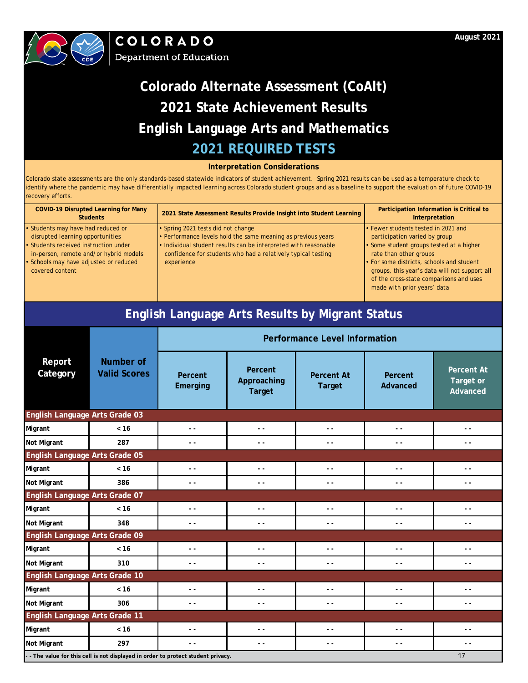



### **Interpretation Considerations**

| <b>COVID-19 Disrupted Learning for Many</b><br><b>Students</b> | 2021 State Assessment Results Provide Insight into Student Learning | Participation Information is Critical to<br>Interpretation |
|----------------------------------------------------------------|---------------------------------------------------------------------|------------------------------------------------------------|
| • Students may have had reduced or                             | • Spring 2021 tests did not change                                  | • Fewer students tested in 2021 and                        |
| disrupted learning opportunities                               | • Performance levels hold the same meaning as previous years        | participation varied by group                              |
| • Students received instruction under                          | • Individual student results can be interpreted with reasonable     | • Some student groups tested at a higher                   |
| in-person, remote and/or hybrid models                         | confidence for students who had a relatively typical testing        | rate than other groups                                     |
| • Schools may have adjusted or reduced                         | experience                                                          | • For some districts, schools and student                  |
| covered content                                                |                                                                     | groups, this year's data will not support all              |
|                                                                |                                                                     | of the cross-state comparisons and uses                    |
|                                                                |                                                                     | made with prior years' data                                |

|                                |                                         |                                                                                 |                                         | <b>English Language Arts Results by Migrant Status</b> |                               |                                            |  |
|--------------------------------|-----------------------------------------|---------------------------------------------------------------------------------|-----------------------------------------|--------------------------------------------------------|-------------------------------|--------------------------------------------|--|
|                                |                                         | <b>Performance Level Information</b>                                            |                                         |                                                        |                               |                                            |  |
| Report<br>Category             | <b>Number of</b><br><b>Valid Scores</b> | Percent<br>Emerging                                                             | Percent<br>Approaching<br><b>Target</b> | <b>Percent At</b><br><b>Target</b>                     | Percent<br>Advanced           | <b>Percent At</b><br>Target or<br>Advanced |  |
| English Language Arts Grade 03 |                                         |                                                                                 |                                         |                                                        |                               |                                            |  |
| Migrant                        | < 16                                    | $ -$                                                                            | $-$                                     | $\overline{a}$                                         | $\overline{a}$                | $\overline{a}$                             |  |
| Not Migrant                    | 287                                     | $ -$                                                                            | - -                                     | . .                                                    | $\overline{a}$                | $\overline{\phantom{a}}$                   |  |
| English Language Arts Grade 05 |                                         |                                                                                 |                                         |                                                        |                               |                                            |  |
| Migrant                        | < 16                                    | $ -$                                                                            | $\overline{\phantom{a}}$                | . .                                                    | $\overline{a}$                | $ -$                                       |  |
| Not Migrant                    | 386                                     | $ -$                                                                            | $\overline{a}$                          | $\overline{\phantom{a}}$                               | $\overline{a}$                | $\sim$ $\sim$                              |  |
| English Language Arts Grade 07 |                                         |                                                                                 |                                         |                                                        |                               |                                            |  |
| Migrant                        | < 16                                    | $ -$                                                                            | $\overline{a}$                          | $\overline{a}$                                         | $\overline{a}$                | $\overline{a}$                             |  |
| Not Migrant                    | 348                                     | $\sim$ $\sim$                                                                   | - -                                     | $ -$                                                   | $\sim$ $\sim$                 | $\sim$ $\sim$                              |  |
| English Language Arts Grade 09 |                                         |                                                                                 |                                         |                                                        |                               |                                            |  |
| Migrant                        | < 16                                    | $ -$                                                                            | $\overline{a}$                          | $\overline{a}$                                         | $\overline{a}$                | $ -$                                       |  |
| Not Migrant                    | 310                                     | $\sim$ $\sim$                                                                   | $\overline{a}$                          | $\overline{\phantom{a}}$                               | $\overline{a}$                | $ -$                                       |  |
| English Language Arts Grade 10 |                                         |                                                                                 |                                         |                                                        |                               |                                            |  |
| Migrant                        | < 16                                    | $ -$                                                                            | $\overline{\phantom{0}}$                | $\overline{a}$                                         | $\overline{a}$ $\overline{a}$ | $\sim$ $\sim$                              |  |
| Not Migrant                    | 306                                     | $\sim$ $\sim$                                                                   | - -                                     | $ -$                                                   | $\overline{a}$                | $\sim$ $\sim$                              |  |
| English Language Arts Grade 11 |                                         |                                                                                 |                                         |                                                        |                               |                                            |  |
| Migrant                        | < 16                                    | $ -$                                                                            | $\overline{a}$                          | $\overline{a}$                                         | $\overline{a}$                | $ -$                                       |  |
| Not Migrant                    | 297                                     | $ -$                                                                            | $\overline{a}$                          | $\overline{\phantom{a}}$                               | $\overline{a}$                | $\sim$ $\sim$                              |  |
|                                |                                         | - The value for this cell is not displayed in order to protect student privacy. |                                         |                                                        |                               | 17                                         |  |